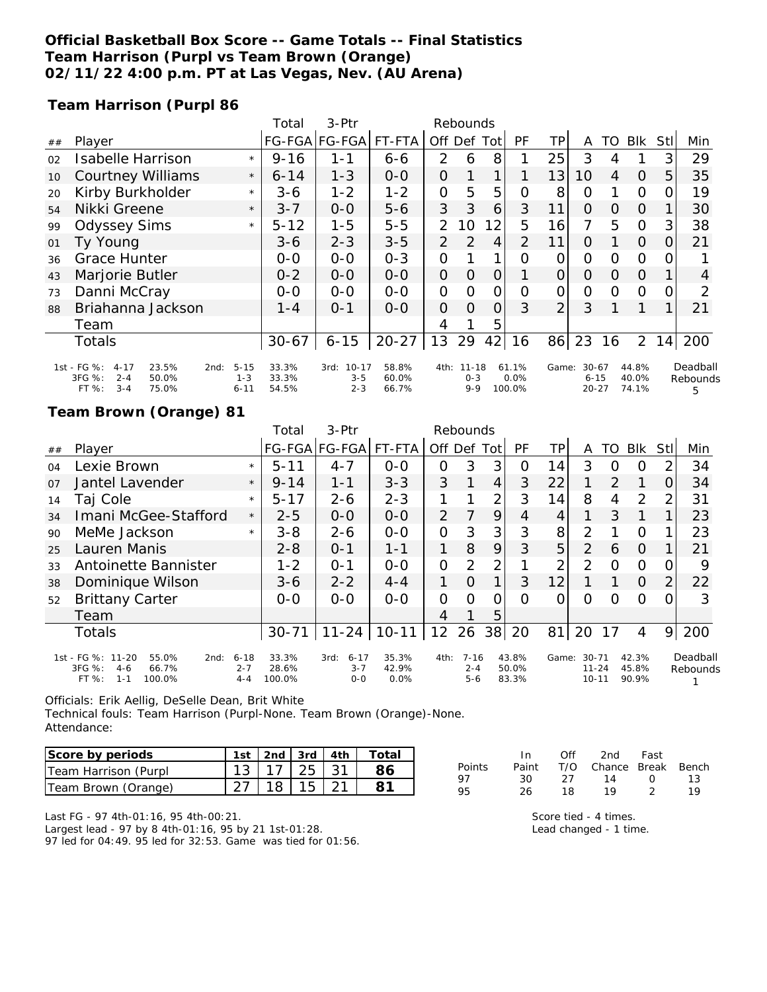### **Official Basketball Box Score -- Game Totals -- Final Statistics Team Harrison (Purpl vs Team Brown (Orange) 02/11/22 4:00 p.m. PT at Las Vegas, Nev. (AU Arena)**

**Team Harrison (Purpl 86**

|    |                                                                                                     |                                 | Total                   | 3-Ptr                                   | Rebounds                |                |                                  |                |                         |                |                                    |          |                         |      |                           |
|----|-----------------------------------------------------------------------------------------------------|---------------------------------|-------------------------|-----------------------------------------|-------------------------|----------------|----------------------------------|----------------|-------------------------|----------------|------------------------------------|----------|-------------------------|------|---------------------------|
| ## | Player                                                                                              |                                 |                         | FG-FGA FG-FGA                           | FT-FTA                  | Off            | Def                              | Tot            | PF                      | TР             | A                                  | TO       | Blk                     | Stll | Min                       |
| 02 | <b>Isabelle Harrison</b>                                                                            | $\star$                         | $9 - 16$                | 1-1                                     | $6 - 6$                 | 2              | 6                                | 8              |                         | 25             | 3                                  | 4        |                         | 3    | 29                        |
| 10 | <b>Courtney Williams</b>                                                                            | $\star$                         | $6 - 14$                | $1 - 3$                                 | $O-O$                   | $\overline{O}$ |                                  |                |                         | 13             | 10                                 | 4        | $\Omega$                | 5    | 35                        |
| 20 | Kirby Burkholder                                                                                    | $\star$                         | $3 - 6$                 | $1 - 2$                                 | $1 - 2$                 | $\overline{O}$ | 5                                | 5              | 0                       | 8              | $\Omega$                           |          | $\Omega$                | O    | 19                        |
| 54 | Nikki Greene                                                                                        | $\star$                         | $3 - 7$                 | $0 - 0$                                 | $5 - 6$                 | 3              | 3                                | 6              | 3                       | 11             | $\Omega$                           | $\Omega$ | $\Omega$                |      | 30                        |
| 99 | <b>Odyssey Sims</b>                                                                                 | $\star$                         | $5 - 12$                | $1 - 5$                                 | $5 - 5$                 | $\overline{2}$ | 10                               | 12             | 5                       | 16             | 7                                  | 5        | $\overline{O}$          | 3    | 38                        |
| 01 | Ty Young                                                                                            |                                 | $3-6$                   | $2 - 3$                                 | $3 - 5$                 | $\overline{2}$ | 2                                | $\overline{4}$ | $\overline{2}$          | 11             | $\Omega$                           |          | $\Omega$                | 0    | 21                        |
| 36 | <b>Grace Hunter</b>                                                                                 |                                 | $0-0$                   | $0 - 0$                                 | $0 - 3$                 | O              |                                  |                | Ω                       | 0              | 0                                  | 0        | $\Omega$                |      |                           |
| 43 | Marjorie Butler                                                                                     |                                 | $0 - 2$                 | $0 - 0$                                 | $0 - 0$                 | $\overline{O}$ | $\Omega$                         | 0              |                         | $\overline{O}$ | $\Omega$                           | $\Omega$ | $\overline{O}$          |      | 4                         |
| 73 | Danni McCray                                                                                        |                                 | $0-0$                   | $0 - 0$                                 | $0 - 0$                 | 0              | $\Omega$                         | Ω              | $\Omega$                | 0              | 0                                  | $\Omega$ | $\Omega$                |      | 2                         |
| 88 | Briahanna Jackson                                                                                   |                                 | $1 - 4$                 | $O - 1$                                 | $0 - 0$                 | $\Omega$       | $\Omega$                         | $\Omega$       | 3                       | $\overline{2}$ | 3                                  |          |                         |      | 21                        |
|    | Team                                                                                                |                                 |                         |                                         |                         | 4              |                                  | 5              |                         |                |                                    |          |                         |      |                           |
|    | <b>Totals</b>                                                                                       |                                 | $30 - 67$               | $6 - 15$                                | $20 - 27$               | 13             | 29                               | 42             | 16                      | 86             | 23                                 | 16       | $\overline{2}$          | 14   | 200                       |
|    | 1st - FG %:<br>23.5%<br>$4 - 17$<br>2nd:<br>3FG %:<br>$2 - 4$<br>50.0%<br>$3 - 4$<br>FT %:<br>75.0% | $5 - 15$<br>$1 - 3$<br>$6 - 11$ | 33.3%<br>33.3%<br>54.5% | $10 - 17$<br>3rd:<br>$3 - 5$<br>$2 - 3$ | 58.8%<br>60.0%<br>66.7% |                | 4th: 11-18<br>$O - 3$<br>$9 - 9$ |                | 61.1%<br>0.0%<br>100.0% | Game:          | $30 - 67$<br>$6 - 15$<br>$20 - 27$ |          | 44.8%<br>40.0%<br>74.1% |      | Deadball<br>Rebounds<br>5 |

#### **Team Brown (Orange) 81**

|                |                                                                                              |                                | Total                    | $3-Ptr$                              | Rebounds               |               |                                |                |                         |       |                                     |               |                         |                |                      |
|----------------|----------------------------------------------------------------------------------------------|--------------------------------|--------------------------|--------------------------------------|------------------------|---------------|--------------------------------|----------------|-------------------------|-------|-------------------------------------|---------------|-------------------------|----------------|----------------------|
| ##             | Player                                                                                       |                                |                          | FG-FGA FG-FGA                        | FT-FTA                 | Off Def       |                                | Tot            | PF                      | ΤP    | A                                   | TO            | <b>Blk</b>              | Stll           | Min                  |
| O <sub>4</sub> | Lexie Brown                                                                                  |                                | $5 - 11$                 | $4 - 7$                              | $0 - 0$                | 0             | 3                              | 3              | O                       | 14    | 3                                   | O             | O                       | 2              | 34                   |
| 07             | Jantel Lavender                                                                              | $\star$                        | $9 - 14$                 | $1 - 1$                              | $3 - 3$                | 3             | 1                              | $\overline{4}$ | 3                       | 22    |                                     | $\mathcal{P}$ | 1                       | ΟI             | 34                   |
| 14             | Taj Cole                                                                                     | $\star$                        | $5 - 17$                 | $2 - 6$                              | $2 - 3$                |               |                                | 2              | 3                       | 14    | 8                                   | 4             | 2                       | 2              | 31                   |
| 34             | Imani McGee-Stafford                                                                         | $\star$                        | $2 - 5$                  | $0 - 0$                              | $0 - 0$                | $\mathcal{P}$ |                                | 9              | 4                       | 4     |                                     | 3             |                         |                | 23                   |
| 90             | MeMe Jackson                                                                                 | $\star$                        | $3 - 8$                  | $2 - 6$                              | $0 - 0$                | $\Omega$      | 3                              | 3              | 3                       | 8     | 2                                   |               | O                       |                | 23                   |
| 25             | Lauren Manis                                                                                 |                                | $2 - 8$                  | $0 - 1$                              | $1 - 1$                | 1             | 8                              | 9              | 3                       | 5     | 2                                   | 6             | $\Omega$                |                | 21                   |
| 33             | Antoinette Bannister                                                                         |                                | $1 - 2$                  | $O - 1$                              | $0 - 0$                | $\mathcal{O}$ | $\mathcal{P}$                  | 2              |                         | 2     | 2                                   | $\Omega$      | $\circ$                 | 0              | 9                    |
| 38             | Dominique Wilson                                                                             |                                | $3 - 6$                  | $2 - 2$                              | $4 - 4$                | 1             | $\Omega$                       | 1              | 3                       | 12    |                                     |               | $\Omega$                | $\overline{2}$ | 22                   |
| 52             | <b>Brittany Carter</b>                                                                       |                                | $0 - 0$                  | $0 - 0$                              | $0 - 0$                | $\Omega$      | $\Omega$                       | 0              | Ω                       | Ω     | O                                   | O             | Ω                       | O              | 3                    |
|                | Team                                                                                         |                                |                          |                                      |                        | 4             |                                | 5              |                         |       |                                     |               |                         |                |                      |
|                | <b>Totals</b>                                                                                |                                | $30 - 71$                | $11 - 24$                            | $10 - 11$              | 12            | 26                             | 38             | 20                      | 81    | 20                                  | 17            | 4                       | 9              | 200                  |
|                | 1st - FG %: 11-20<br>55.0%<br>2nd:<br>3FG %:<br>66.7%<br>$4-6$<br>$1 - 1$<br>FT %:<br>100.0% | $6 - 18$<br>$2 - 7$<br>$4 - 4$ | 33.3%<br>28.6%<br>100.0% | $6 - 17$<br>3rd:<br>$3 - 7$<br>$O-O$ | 35.3%<br>42.9%<br>0.0% | 4th:          | $7 - 16$<br>$2 - 4$<br>$5 - 6$ |                | 43.8%<br>50.0%<br>83.3% | Game: | $30 - 71$<br>$11 - 24$<br>$10 - 11$ |               | 42.3%<br>45.8%<br>90.9% |                | Deadball<br>Rebounds |

Officials: Erik Aellig, DeSelle Dean, Brit White

Technical fouls: Team Harrison (Purpl-None. Team Brown (Orange)-None. Attendance:

| Score by periods     | 1st   2nd   3rd   4th        |  | Total |
|----------------------|------------------------------|--|-------|
| Team Harrison (Purpl | $13 \mid 17 \mid 25 \mid 31$ |  |       |
| Team Brown (Orange)  | 138115121                    |  |       |

|        | In.   | Off | 2nd                    | Fast             |    |
|--------|-------|-----|------------------------|------------------|----|
| Points | Paint |     | T/O Chance Break Bench |                  |    |
| 97     | 30.   | 27. | 14                     | $\left( \right)$ | 13 |
| 95     | 26    | 18. | 19                     | -2               | 19 |
|        |       |     |                        |                  |    |

Last FG - 97 4th-01:16, 95 4th-00:21.

Largest lead - 97 by 8 4th-01:16, 95 by 21 1st-01:28. 97 led for 04:49. 95 led for 32:53. Game was tied for 01:56. Score tied - 4 times. Lead changed - 1 time.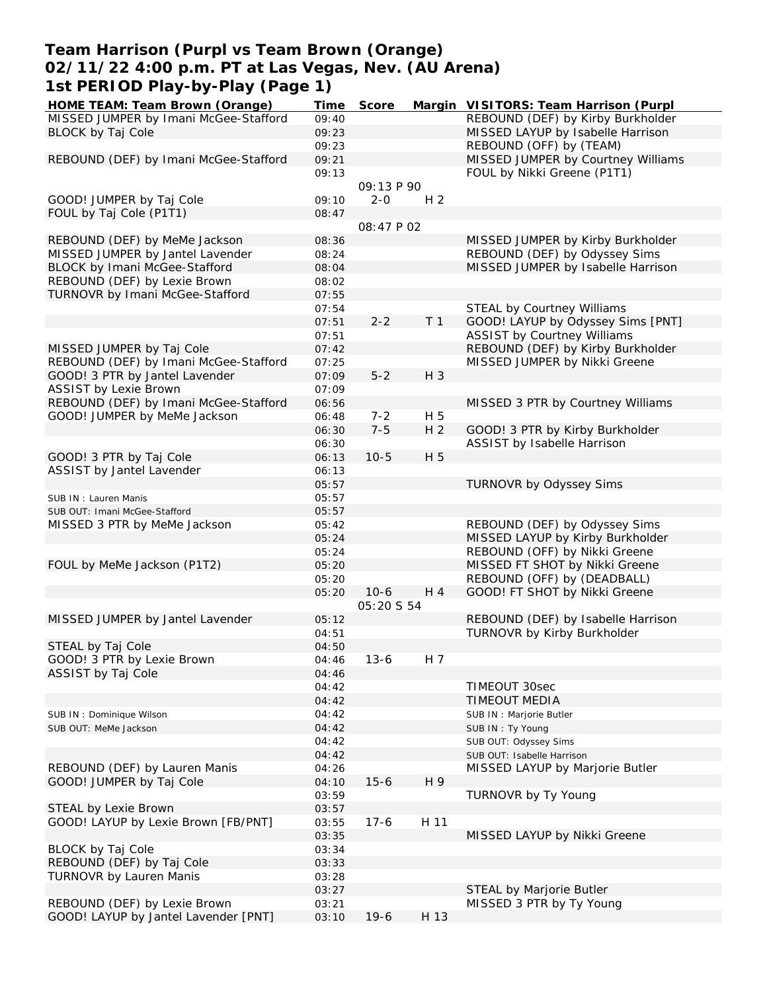### **Team Harrison (Purpl vs Team Brown (Orange) 02/11/22 4:00 p.m. PT at Las Vegas, Nev. (AU Arena) 1st PERIOD Play-by-Play (Page 1)**

| HOME TEAM: Team Brown (Orange)                              | Time  | Score      |                | Margin VISITORS: Team Harrison (Purpl |
|-------------------------------------------------------------|-------|------------|----------------|---------------------------------------|
| MISSED JUMPER by Imani McGee-Stafford                       | 09:40 |            |                | REBOUND (DEF) by Kirby Burkholder     |
| <b>BLOCK by Taj Cole</b>                                    | 09:23 |            |                | MISSED LAYUP by Isabelle Harrison     |
|                                                             | 09:23 |            |                | REBOUND (OFF) by (TEAM)               |
| REBOUND (DEF) by Imani McGee-Stafford                       | 09:21 |            |                | MISSED JUMPER by Courtney Williams    |
|                                                             | 09:13 |            |                | FOUL by Nikki Greene (P1T1)           |
|                                                             |       | 09:13 P 90 |                |                                       |
| GOOD! JUMPER by Taj Cole                                    | 09:10 | $2 - 0$    | H <sub>2</sub> |                                       |
| FOUL by Taj Cole (P1T1)                                     | 08:47 |            |                |                                       |
|                                                             |       | 08:47 P 02 |                |                                       |
| REBOUND (DEF) by MeMe Jackson                               | 08:36 |            |                | MISSED JUMPER by Kirby Burkholder     |
| MISSED JUMPER by Jantel Lavender                            | 08:24 |            |                | REBOUND (DEF) by Odyssey Sims         |
| BLOCK by Imani McGee-Stafford                               | 08:04 |            |                | MISSED JUMPER by Isabelle Harrison    |
| REBOUND (DEF) by Lexie Brown                                | 08:02 |            |                |                                       |
| TURNOVR by Imani McGee-Stafford                             | 07:55 |            |                |                                       |
|                                                             | 07:54 |            |                | STEAL by Courtney Williams            |
|                                                             | 07:51 | $2 - 2$    | T <sub>1</sub> | GOOD! LAYUP by Odyssey Sims [PNT]     |
|                                                             | 07:51 |            |                | <b>ASSIST by Courtney Williams</b>    |
| MISSED JUMPER by Taj Cole                                   | 07:42 |            |                | REBOUND (DEF) by Kirby Burkholder     |
| REBOUND (DEF) by Imani McGee-Stafford                       | 07:25 |            |                | MISSED JUMPER by Nikki Greene         |
| GOOD! 3 PTR by Jantel Lavender                              | 07:09 | $5 - 2$    | H 3            |                                       |
| <b>ASSIST by Lexie Brown</b>                                | 07:09 |            |                |                                       |
| REBOUND (DEF) by Imani McGee-Stafford                       | 06:56 |            |                | MISSED 3 PTR by Courtney Williams     |
| GOOD! JUMPER by MeMe Jackson                                | 06:48 | $7 - 2$    | H 5            |                                       |
|                                                             | 06:30 | $7 - 5$    | H <sub>2</sub> | GOOD! 3 PTR by Kirby Burkholder       |
|                                                             | 06:30 |            |                | ASSIST by Isabelle Harrison           |
| GOOD! 3 PTR by Taj Cole                                     | 06:13 | $10 - 5$   | H 5            |                                       |
| ASSIST by Jantel Lavender                                   | 06:13 |            |                |                                       |
|                                                             | 05:57 |            |                | TURNOVR by Odyssey Sims               |
| SUB IN: Lauren Manis                                        | 05:57 |            |                |                                       |
| SUB OUT: Imani McGee-Stafford                               | 05:57 |            |                |                                       |
| MISSED 3 PTR by MeMe Jackson                                | 05:42 |            |                | REBOUND (DEF) by Odyssey Sims         |
|                                                             | 05:24 |            |                | MISSED LAYUP by Kirby Burkholder      |
|                                                             | 05:24 |            |                | REBOUND (OFF) by Nikki Greene         |
| FOUL by MeMe Jackson (P1T2)                                 | 05:20 |            |                | MISSED FT SHOT by Nikki Greene        |
|                                                             | 05:20 |            |                | REBOUND (OFF) by (DEADBALL)           |
|                                                             | 05:20 | $10-6$     | H 4            | GOOD! FT SHOT by Nikki Greene         |
|                                                             |       | 05:20 S 54 |                |                                       |
| MISSED JUMPER by Jantel Lavender                            | 05:12 |            |                | REBOUND (DEF) by Isabelle Harrison    |
|                                                             | 04:51 |            |                | TURNOVR by Kirby Burkholder           |
| STEAL by Taj Cole                                           | 04:50 |            |                |                                       |
| GOOD! 3 PTR by Lexie Brown                                  | 04:46 | $13 - 6$   | H 7            |                                       |
| ASSIST by Taj Cole                                          | 04:46 |            |                |                                       |
|                                                             | 04:42 |            |                | TIMEOUT 30sec                         |
|                                                             | 04:42 |            |                | TIMEOUT MEDIA                         |
| SUB IN: Dominique Wilson                                    | 04:42 |            |                | SUB IN : Marjorie Butler              |
| SUB OUT: MeMe Jackson                                       | 04:42 |            |                | SUB IN: Ty Young                      |
|                                                             | 04:42 |            |                | SUB OUT: Odyssey Sims                 |
|                                                             | 04:42 |            |                | SUB OUT: Isabelle Harrison            |
| REBOUND (DEF) by Lauren Manis                               | 04:26 |            |                | MISSED LAYUP by Marjorie Butler       |
| GOOD! JUMPER by Taj Cole                                    | 04:10 | $15 - 6$   | H 9            |                                       |
|                                                             |       |            |                | TURNOVR by Ty Young                   |
|                                                             | 03:59 |            |                |                                       |
| STEAL by Lexie Brown<br>GOOD! LAYUP by Lexie Brown [FB/PNT] | 03:57 |            |                |                                       |
|                                                             | 03:55 | $17-6$     | H 11           |                                       |
|                                                             | 03:35 |            |                | MISSED LAYUP by Nikki Greene          |
| BLOCK by Taj Cole                                           | 03:34 |            |                |                                       |
| REBOUND (DEF) by Taj Cole                                   | 03:33 |            |                |                                       |
| TURNOVR by Lauren Manis                                     | 03:28 |            |                |                                       |
|                                                             | 03:27 |            |                | STEAL by Marjorie Butler              |
| REBOUND (DEF) by Lexie Brown                                | 03:21 |            |                | MISSED 3 PTR by Ty Young              |
| GOOD! LAYUP by Jantel Lavender [PNT]                        | 03:10 | $19-6$     | H 13           |                                       |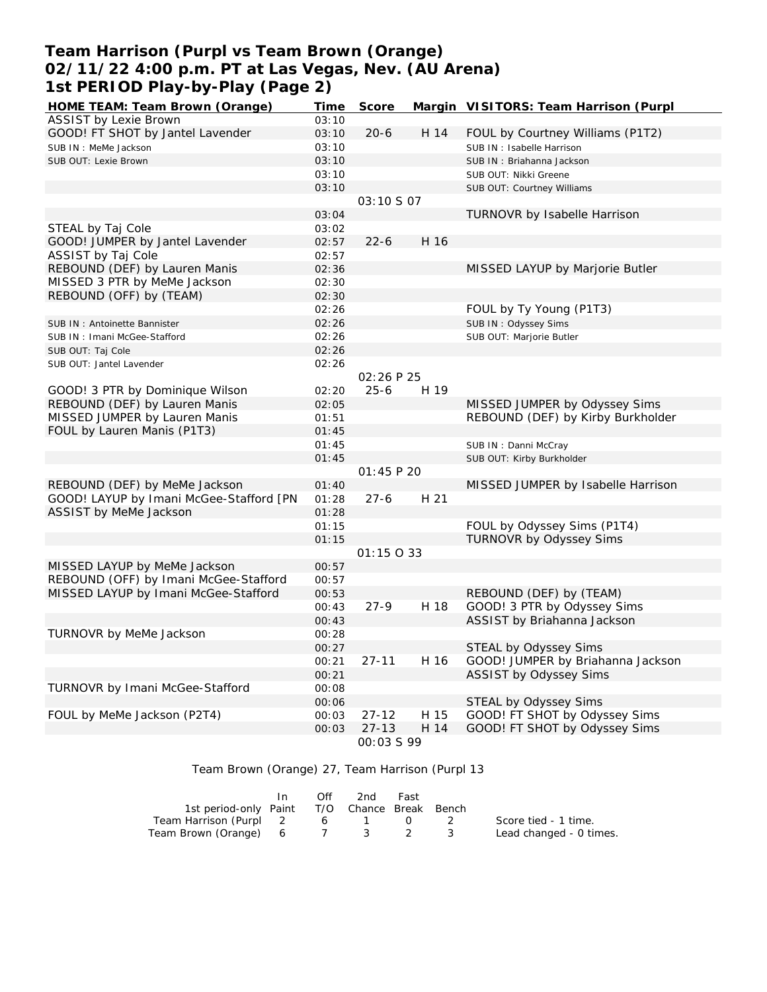### **Team Harrison (Purpl vs Team Brown (Orange) 02/11/22 4:00 p.m. PT at Las Vegas, Nev. (AU Arena) 1st PERIOD Play-by-Play (Page 2)**

| HOME TEAM: Team Brown (Orange)          | Time  | Score             |      | Margin VISITORS: Team Harrison (Purpl |
|-----------------------------------------|-------|-------------------|------|---------------------------------------|
| ASSIST by Lexie Brown                   | 03:10 |                   |      |                                       |
| GOOD! FT SHOT by Jantel Lavender        | 03:10 | $20 - 6$          | H 14 | FOUL by Courtney Williams (P1T2)      |
| SUB IN: MeMe Jackson                    | 03:10 |                   |      | SUB IN: Isabelle Harrison             |
| SUB OUT: Lexie Brown                    | 03:10 |                   |      | SUB IN: Briahanna Jackson             |
|                                         | 03:10 |                   |      | SUB OUT: Nikki Greene                 |
|                                         | 03:10 |                   |      | SUB OUT: Courtney Williams            |
|                                         |       | 03:10 S 07        |      |                                       |
|                                         | 03:04 |                   |      | TURNOVR by Isabelle Harrison          |
| STEAL by Taj Cole                       | 03:02 |                   |      |                                       |
| GOOD! JUMPER by Jantel Lavender         | 02:57 | $22 - 6$          | H 16 |                                       |
| ASSIST by Taj Cole                      | 02:57 |                   |      |                                       |
| REBOUND (DEF) by Lauren Manis           | 02:36 |                   |      | MISSED LAYUP by Marjorie Butler       |
| MISSED 3 PTR by MeMe Jackson            | 02:30 |                   |      |                                       |
| REBOUND (OFF) by (TEAM)                 | 02:30 |                   |      |                                       |
|                                         | 02:26 |                   |      | FOUL by Ty Young (P1T3)               |
| SUB IN: Antoinette Bannister            | 02:26 |                   |      | SUB IN: Odyssey Sims                  |
| SUB IN: Imani McGee-Stafford            | 02:26 |                   |      | SUB OUT: Marjorie Butler              |
| SUB OUT: Taj Cole                       | 02:26 |                   |      |                                       |
| SUB OUT: Jantel Lavender                | 02:26 |                   |      |                                       |
|                                         |       | 02:26 P 25        |      |                                       |
| GOOD! 3 PTR by Dominique Wilson         | 02:20 | $25 - 6$          | H 19 |                                       |
| REBOUND (DEF) by Lauren Manis           | 02:05 |                   |      | MISSED JUMPER by Odyssey Sims         |
| MISSED JUMPER by Lauren Manis           | 01:51 |                   |      | REBOUND (DEF) by Kirby Burkholder     |
| FOUL by Lauren Manis (P1T3)             | 01:45 |                   |      |                                       |
|                                         | 01:45 |                   |      | SUB IN: Danni McCray                  |
|                                         | 01:45 |                   |      | SUB OUT: Kirby Burkholder             |
|                                         |       | 01:45 P 20        |      |                                       |
| REBOUND (DEF) by MeMe Jackson           | 01:40 |                   |      | MISSED JUMPER by Isabelle Harrison    |
| GOOD! LAYUP by Imani McGee-Stafford [PN | 01:28 | $27 - 6$          | H 21 |                                       |
| ASSIST by MeMe Jackson                  | 01:28 |                   |      |                                       |
|                                         | 01:15 |                   |      | FOUL by Odyssey Sims (P1T4)           |
|                                         | 01:15 |                   |      | <b>TURNOVR by Odyssey Sims</b>        |
|                                         |       | 01:15 0 33        |      |                                       |
| MISSED LAYUP by MeMe Jackson            | 00:57 |                   |      |                                       |
| REBOUND (OFF) by Imani McGee-Stafford   | 00:57 |                   |      |                                       |
| MISSED LAYUP by Imani McGee-Stafford    | 00:53 |                   |      | REBOUND (DEF) by (TEAM)               |
|                                         | 00:43 | $27-9$            | H 18 | GOOD! 3 PTR by Odyssey Sims           |
|                                         | 00:43 |                   |      | ASSIST by Briahanna Jackson           |
| TURNOVR by MeMe Jackson                 | 00:28 |                   |      |                                       |
|                                         | 00:27 |                   |      | STEAL by Odyssey Sims                 |
|                                         | 00:21 | $27 - 11$         | H 16 | GOOD! JUMPER by Briahanna Jackson     |
|                                         | 00:21 |                   |      | ASSIST by Odyssey Sims                |
| TURNOVR by Imani McGee-Stafford         | 00:08 |                   |      |                                       |
|                                         | 00:06 |                   |      | STEAL by Odyssey Sims                 |
| FOUL by MeMe Jackson (P2T4)             | 00:03 | $27 - 12$         | H 15 | GOOD! FT SHOT by Odyssey Sims         |
|                                         | 00:03 | $27 - 13$         | H 14 | GOOD! FT SHOT by Odyssey Sims         |
|                                         |       | <i>00:03 S 99</i> |      |                                       |

#### Team Brown (Orange) 27, Team Harrison (Purpl 13

|                                              | $\mathsf{In}$ | Off | -2nd    | Fast |                         |
|----------------------------------------------|---------------|-----|---------|------|-------------------------|
| 1st period-only Paint T/O Chance Break Bench |               |     |         |      |                         |
| Team Harrison (Purpl 2                       |               |     | 6 1 0 2 |      | Score tied - 1 time.    |
| Team Brown (Orange) 6 7 3 2 3                |               |     |         |      | Lead changed - 0 times. |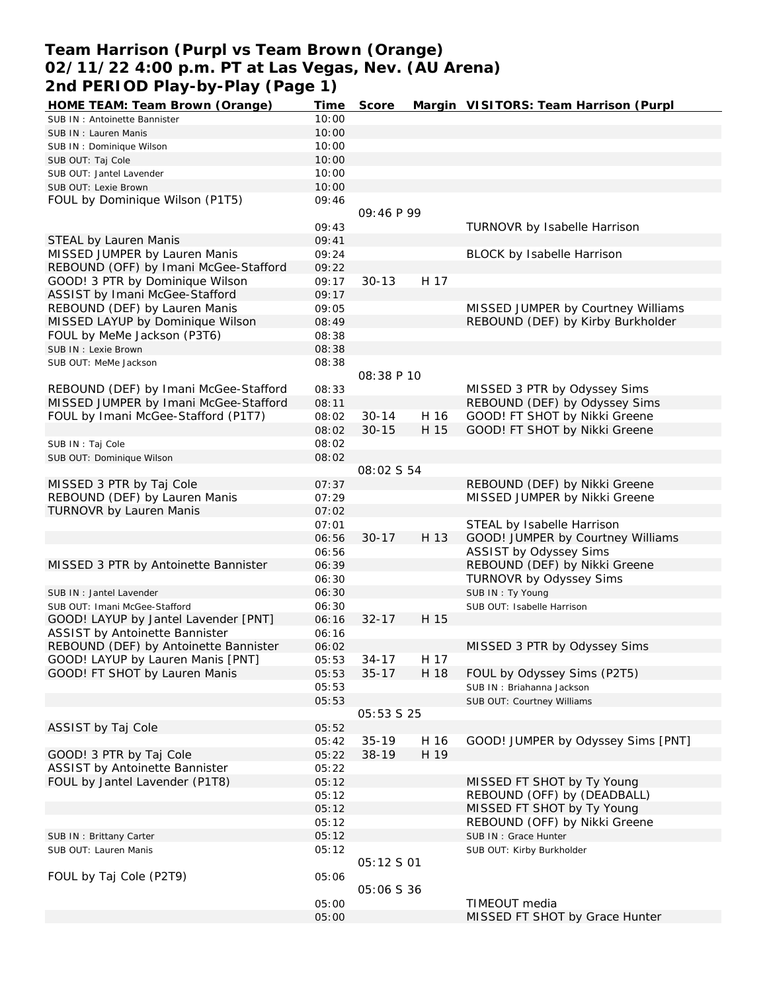### **Team Harrison (Purpl vs Team Brown (Orange) 02/11/22 4:00 p.m. PT at Las Vegas, Nev. (AU Arena) 2nd PERIOD Play-by-Play (Page 1)**

| HOME TEAM: Team Brown (Orange)                                        | Time           | Score             |      | Margin VISITORS: Team Harrison (Purpl          |
|-----------------------------------------------------------------------|----------------|-------------------|------|------------------------------------------------|
| SUB IN: Antoinette Bannister                                          | 10:00          |                   |      |                                                |
| SUB IN: Lauren Manis                                                  | 10:00          |                   |      |                                                |
| SUB IN: Dominique Wilson                                              | 10:00          |                   |      |                                                |
| SUB OUT: Taj Cole                                                     | 10:00          |                   |      |                                                |
| SUB OUT: Jantel Lavender                                              | 10:00          |                   |      |                                                |
| SUB OUT: Lexie Brown                                                  | 10:00          |                   |      |                                                |
| FOUL by Dominique Wilson (P1T5)                                       | 09:46          |                   |      |                                                |
|                                                                       |                | 09:46 P 99        |      |                                                |
|                                                                       | 09:43          |                   |      | TURNOVR by Isabelle Harrison                   |
| STEAL by Lauren Manis                                                 | 09:41          |                   |      |                                                |
| MISSED JUMPER by Lauren Manis                                         | 09:24          |                   |      | BLOCK by Isabelle Harrison                     |
| REBOUND (OFF) by Imani McGee-Stafford                                 | 09:22          |                   |      |                                                |
| GOOD! 3 PTR by Dominique Wilson                                       | 09:17          | $30 - 13$         | H 17 |                                                |
| ASSIST by Imani McGee-Stafford                                        | 09:17          |                   |      |                                                |
| REBOUND (DEF) by Lauren Manis                                         | 09:05          |                   |      | MISSED JUMPER by Courtney Williams             |
| MISSED LAYUP by Dominique Wilson                                      | 08:49          |                   |      | REBOUND (DEF) by Kirby Burkholder              |
| FOUL by MeMe Jackson (P3T6)                                           | 08:38          |                   |      |                                                |
| SUB IN : Lexie Brown                                                  | 08:38          |                   |      |                                                |
| SUB OUT: MeMe Jackson                                                 | 08:38          |                   |      |                                                |
|                                                                       |                | 08:38 P 10        |      |                                                |
| REBOUND (DEF) by Imani McGee-Stafford                                 | 08:33          |                   |      | MISSED 3 PTR by Odyssey Sims                   |
| MISSED JUMPER by Imani McGee-Stafford                                 | 08:11          |                   |      | REBOUND (DEF) by Odyssey Sims                  |
| FOUL by Imani McGee-Stafford (P1T7)                                   | 08:02          | $30 - 14$         | H 16 | GOOD! FT SHOT by Nikki Greene                  |
|                                                                       | 08:02          | $30 - 15$         | H 15 | GOOD! FT SHOT by Nikki Greene                  |
| SUB IN: Taj Cole                                                      | 08:02          |                   |      |                                                |
| SUB OUT: Dominique Wilson                                             | 08:02          |                   |      |                                                |
|                                                                       |                | 08:02 S 54        |      |                                                |
| MISSED 3 PTR by Taj Cole                                              | 07:37          |                   |      | REBOUND (DEF) by Nikki Greene                  |
| REBOUND (DEF) by Lauren Manis                                         | 07:29          |                   |      | MISSED JUMPER by Nikki Greene                  |
| TURNOVR by Lauren Manis                                               | 07:02          |                   |      |                                                |
|                                                                       | 07:01          |                   |      | STEAL by Isabelle Harrison                     |
|                                                                       | 06:56          | $30 - 17$         | H 13 | GOOD! JUMPER by Courtney Williams              |
|                                                                       | 06:56          |                   |      | ASSIST by Odyssey Sims                         |
| MISSED 3 PTR by Antoinette Bannister                                  | 06:39          |                   |      | REBOUND (DEF) by Nikki Greene                  |
|                                                                       | 06:30          |                   |      | TURNOVR by Odyssey Sims                        |
| SUB IN : Jantel Lavender                                              | 06:30          |                   |      | SUB IN: Ty Young<br>SUB OUT: Isabelle Harrison |
| SUB OUT: Imani McGee-Stafford<br>GOOD! LAYUP by Jantel Lavender [PNT] | 06:30<br>06:16 | $32 - 17$         | H 15 |                                                |
| ASSIST by Antoinette Bannister                                        | 06:16          |                   |      |                                                |
| REBOUND (DEF) by Antoinette Bannister                                 |                |                   |      |                                                |
| GOOD! LAYUP by Lauren Manis [PNT]                                     | 06:02          | $34 - 17$         | H 17 | MISSED 3 PTR by Odyssey Sims                   |
| GOOD! FT SHOT by Lauren Manis                                         | 05:53<br>05:53 | $35 - 17$         | H 18 | FOUL by Odyssey Sims (P2T5)                    |
|                                                                       | 05:53          |                   |      | SUB IN: Briahanna Jackson                      |
|                                                                       | 05:53          |                   |      | SUB OUT: Courtney Williams                     |
|                                                                       |                | 05:53 S 25        |      |                                                |
| ASSIST by Taj Cole                                                    | 05:52          |                   |      |                                                |
|                                                                       | 05:42          | $35-19$           | H 16 | GOOD! JUMPER by Odyssey Sims [PNT]             |
| GOOD! 3 PTR by Taj Cole                                               | 05:22          | $38-19$           | H 19 |                                                |
| ASSIST by Antoinette Bannister                                        | 05:22          |                   |      |                                                |
| FOUL by Jantel Lavender (P1T8)                                        | 05:12          |                   |      | MISSED FT SHOT by Ty Young                     |
|                                                                       | 05:12          |                   |      | REBOUND (OFF) by (DEADBALL)                    |
|                                                                       | 05:12          |                   |      | MISSED FT SHOT by Ty Young                     |
|                                                                       | 05:12          |                   |      | REBOUND (OFF) by Nikki Greene                  |
| SUB IN: Brittany Carter                                               | 05:12          |                   |      | SUB IN: Grace Hunter                           |
| SUB OUT: Lauren Manis                                                 | 05:12          |                   |      | SUB OUT: Kirby Burkholder                      |
|                                                                       |                | 05:12 S 01        |      |                                                |
| FOUL by Taj Cole (P2T9)                                               | 05:06          |                   |      |                                                |
|                                                                       |                | <i>05:06 S 36</i> |      |                                                |
|                                                                       | 05:00          |                   |      | TIMEOUT media                                  |
|                                                                       | 05:00          |                   |      | MISSED FT SHOT by Grace Hunter                 |
|                                                                       |                |                   |      |                                                |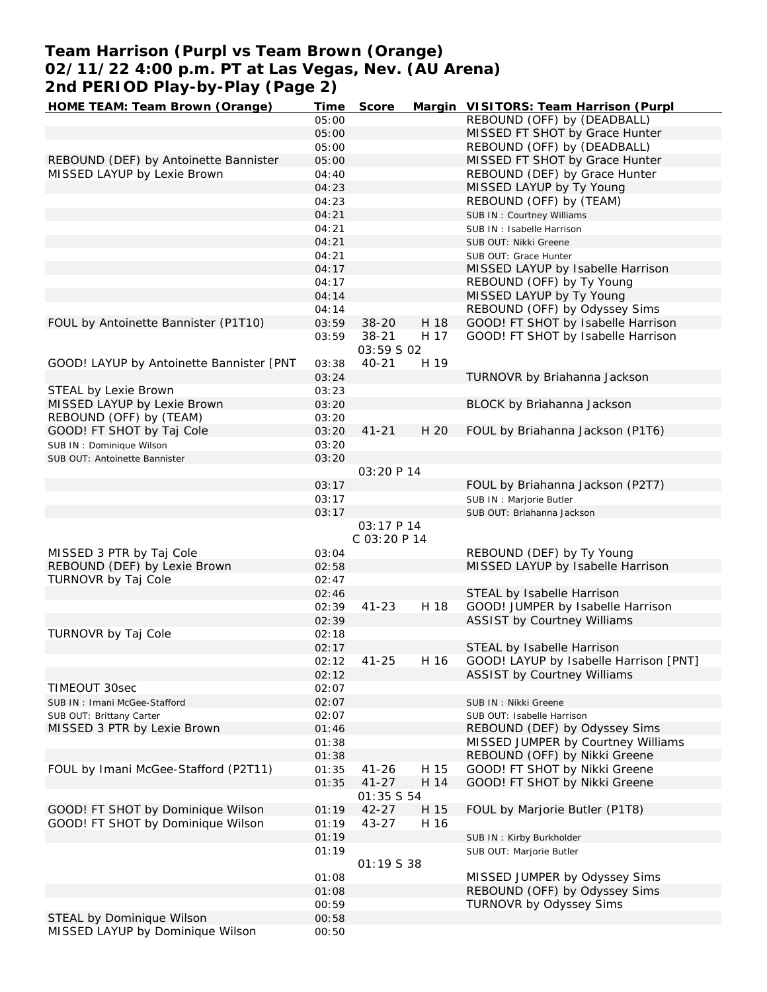# **Team Harrison (Purpl vs Team Brown (Orange) 02/11/22 4:00 p.m. PT at Las Vegas, Nev. (AU Arena) 2nd PERIOD Play-by-Play (Page 2)**

| HOME TEAM: Team Brown (Orange)                                | Time           | Score             |      | Margin VISITORS: Team Harrison (Purpl  |
|---------------------------------------------------------------|----------------|-------------------|------|----------------------------------------|
|                                                               | 05:00          |                   |      | REBOUND (OFF) by (DEADBALL)            |
|                                                               | 05:00          |                   |      | MISSED FT SHOT by Grace Hunter         |
|                                                               | 05:00          |                   |      | REBOUND (OFF) by (DEADBALL)            |
| REBOUND (DEF) by Antoinette Bannister                         | 05:00          |                   |      | MISSED FT SHOT by Grace Hunter         |
| MISSED LAYUP by Lexie Brown                                   | 04:40          |                   |      | REBOUND (DEF) by Grace Hunter          |
|                                                               | 04:23          |                   |      | MISSED LAYUP by Ty Young               |
|                                                               |                |                   |      |                                        |
|                                                               | 04:23          |                   |      | REBOUND (OFF) by (TEAM)                |
|                                                               | 04:21          |                   |      | SUB IN: Courtney Williams              |
|                                                               | 04:21          |                   |      | SUB IN: Isabelle Harrison              |
|                                                               | 04:21          |                   |      | SUB OUT: Nikki Greene                  |
|                                                               | 04:21          |                   |      | SUB OUT: Grace Hunter                  |
|                                                               | 04:17          |                   |      | MISSED LAYUP by Isabelle Harrison      |
|                                                               | 04:17          |                   |      | REBOUND (OFF) by Ty Young              |
|                                                               | 04:14          |                   |      | MISSED LAYUP by Ty Young               |
|                                                               | 04:14          |                   |      | REBOUND (OFF) by Odyssey Sims          |
| FOUL by Antoinette Bannister (P1T10)                          | 03:59          | $38 - 20$         | H 18 | GOOD! FT SHOT by Isabelle Harrison     |
|                                                               |                |                   |      |                                        |
|                                                               | 03:59          | $38 - 21$         | H 17 | GOOD! FT SHOT by Isabelle Harrison     |
|                                                               |                | 03:59 S 02        |      |                                        |
| GOOD! LAYUP by Antoinette Bannister [PNT                      | 03:38          | $40 - 21$         | H 19 |                                        |
|                                                               | 03:24          |                   |      | TURNOVR by Briahanna Jackson           |
| STEAL by Lexie Brown                                          | 03:23          |                   |      |                                        |
| MISSED LAYUP by Lexie Brown                                   | 03:20          |                   |      | BLOCK by Briahanna Jackson             |
| REBOUND (OFF) by (TEAM)                                       | 03:20          |                   |      |                                        |
| GOOD! FT SHOT by Taj Cole                                     | 03:20          | $41 - 21$         | H 20 | FOUL by Briahanna Jackson (P1T6)       |
|                                                               |                |                   |      |                                        |
| SUB IN: Dominique Wilson                                      | 03:20          |                   |      |                                        |
| SUB OUT: Antoinette Bannister                                 | 03:20          |                   |      |                                        |
|                                                               |                | 03:20 P 14        |      |                                        |
|                                                               | 03:17          |                   |      | FOUL by Briahanna Jackson (P2T7)       |
|                                                               | 03:17          |                   |      | SUB IN : Marjorie Butler               |
|                                                               | 03:17          |                   |      | SUB OUT: Briahanna Jackson             |
|                                                               |                |                   |      |                                        |
|                                                               |                |                   |      |                                        |
|                                                               |                | 03:17 P 14        |      |                                        |
|                                                               |                | $C$ 03:20 $P$ 14  |      |                                        |
| MISSED 3 PTR by Taj Cole                                      | 03:04          |                   |      | REBOUND (DEF) by Ty Young              |
| REBOUND (DEF) by Lexie Brown                                  | 02:58          |                   |      | MISSED LAYUP by Isabelle Harrison      |
| TURNOVR by Taj Cole                                           | 02:47          |                   |      |                                        |
|                                                               | 02:46          |                   |      | STEAL by Isabelle Harrison             |
|                                                               | 02:39          | $41 - 23$         | H 18 | GOOD! JUMPER by Isabelle Harrison      |
|                                                               | 02:39          |                   |      | <b>ASSIST by Courtney Williams</b>     |
|                                                               | 02:18          |                   |      |                                        |
| TURNOVR by Taj Cole                                           |                |                   |      |                                        |
|                                                               | 02:17          |                   |      | STEAL by Isabelle Harrison             |
|                                                               | 02:12          | $41 - 25$         | H 16 | GOOD! LAYUP by Isabelle Harrison [PNT] |
|                                                               | 02:12          |                   |      | <b>ASSIST by Courtney Williams</b>     |
| TIMEOUT 30sec                                                 | 02:07          |                   |      |                                        |
| SUB IN: Imani McGee-Stafford                                  | 02:07          |                   |      | SUB IN: Nikki Greene                   |
| SUB OUT: Brittany Carter                                      | 02:07          |                   |      | SUB OUT: Isabelle Harrison             |
| MISSED 3 PTR by Lexie Brown                                   | 01:46          |                   |      | REBOUND (DEF) by Odyssey Sims          |
|                                                               | 01:38          |                   |      | MISSED JUMPER by Courtney Williams     |
|                                                               | 01:38          |                   |      | REBOUND (OFF) by Nikki Greene          |
|                                                               |                |                   |      |                                        |
| FOUL by Imani McGee-Stafford (P2T11)                          | 01:35          | $41 - 26$         | H 15 | GOOD! FT SHOT by Nikki Greene          |
|                                                               | 01:35          | $41 - 27$         | H 14 | GOOD! FT SHOT by Nikki Greene          |
|                                                               |                | <i>01:35 S 54</i> |      |                                        |
| GOOD! FT SHOT by Dominique Wilson                             | 01:19          | $42 - 27$         | H 15 | FOUL by Marjorie Butler (P1T8)         |
| GOOD! FT SHOT by Dominique Wilson                             | 01:19          | 43-27             | H 16 |                                        |
|                                                               | 01:19          |                   |      | SUB IN: Kirby Burkholder               |
|                                                               | 01:19          |                   |      | SUB OUT: Marjorie Butler               |
|                                                               |                | 01:19538          |      |                                        |
|                                                               | 01:08          |                   |      | MISSED JUMPER by Odyssey Sims          |
|                                                               |                |                   |      |                                        |
|                                                               | 01:08          |                   |      | REBOUND (OFF) by Odyssey Sims          |
|                                                               | 00:59          |                   |      | TURNOVR by Odyssey Sims                |
| STEAL by Dominique Wilson<br>MISSED LAYUP by Dominique Wilson | 00:58<br>00:50 |                   |      |                                        |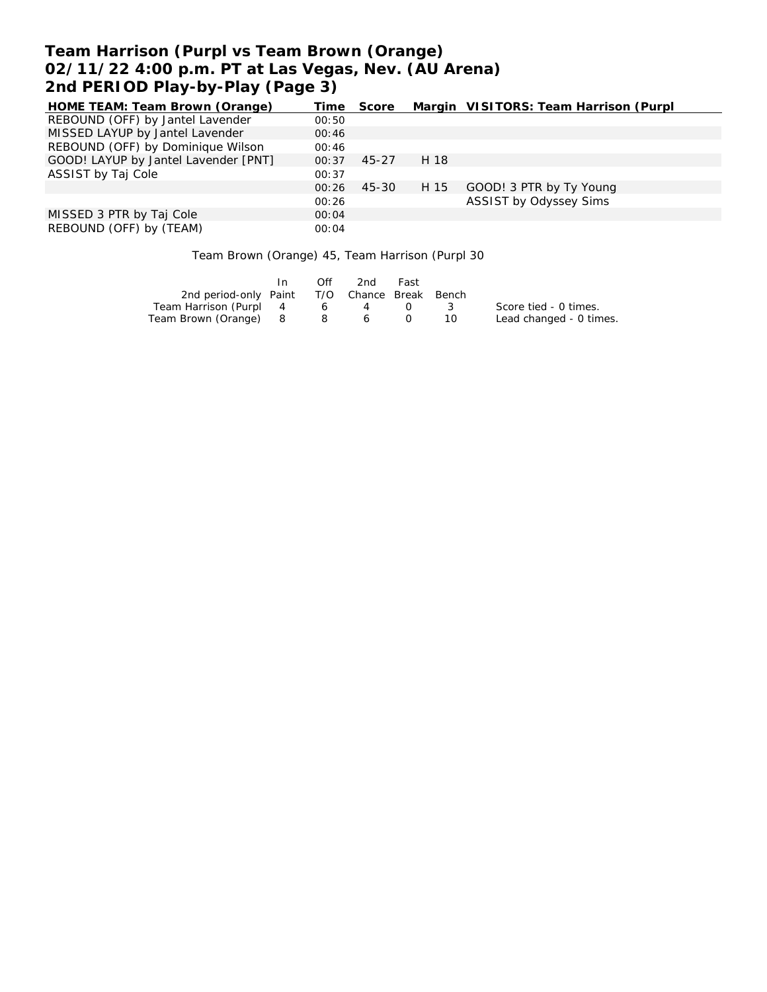# **Team Harrison (Purpl vs Team Brown (Orange) 02/11/22 4:00 p.m. PT at Las Vegas, Nev. (AU Arena) 2nd PERIOD Play-by-Play (Page 3)**

| HOME TEAM: Team Brown (Orange)       | Time  | Score |      | Margin VISITORS: Team Harrison (Purpl |
|--------------------------------------|-------|-------|------|---------------------------------------|
| REBOUND (OFF) by Jantel Lavender     | 00:50 |       |      |                                       |
| MISSED LAYUP by Jantel Lavender      | 00:46 |       |      |                                       |
| REBOUND (OFF) by Dominique Wilson    | 00:46 |       |      |                                       |
| GOOD! LAYUP by Jantel Lavender [PNT] | 00:37 | 45-27 | H 18 |                                       |
| ASSIST by Taj Cole                   | 00:37 |       |      |                                       |
|                                      | 00:26 | 45-30 | H 15 | GOOD! 3 PTR by Ty Young               |
|                                      | 00:26 |       |      | ASSIST by Odyssey Sims                |
| MISSED 3 PTR by Taj Cole             | 00:04 |       |      |                                       |
| REBOUND (OFF) by (TEAM)              | 00:04 |       |      |                                       |

Team Brown (Orange) 45, Team Harrison (Purpl 30

|                                              | In. | Off | 2nd | Fast                                                                                           |     |                         |
|----------------------------------------------|-----|-----|-----|------------------------------------------------------------------------------------------------|-----|-------------------------|
| 2nd period-only Paint T/O Chance Break Bench |     |     |     |                                                                                                |     |                         |
| Team Harrison (Purpl 4                       |     | 6   | 4   | $\left( \begin{array}{ccc} \cdot & \cdot & \cdot \\ \cdot & \cdot & \cdot \end{array} \right)$ | - 3 | Score tied - 0 times.   |
| Team Brown (Orange) 8                        |     |     | 860 |                                                                                                | 10. | Lead changed - 0 times. |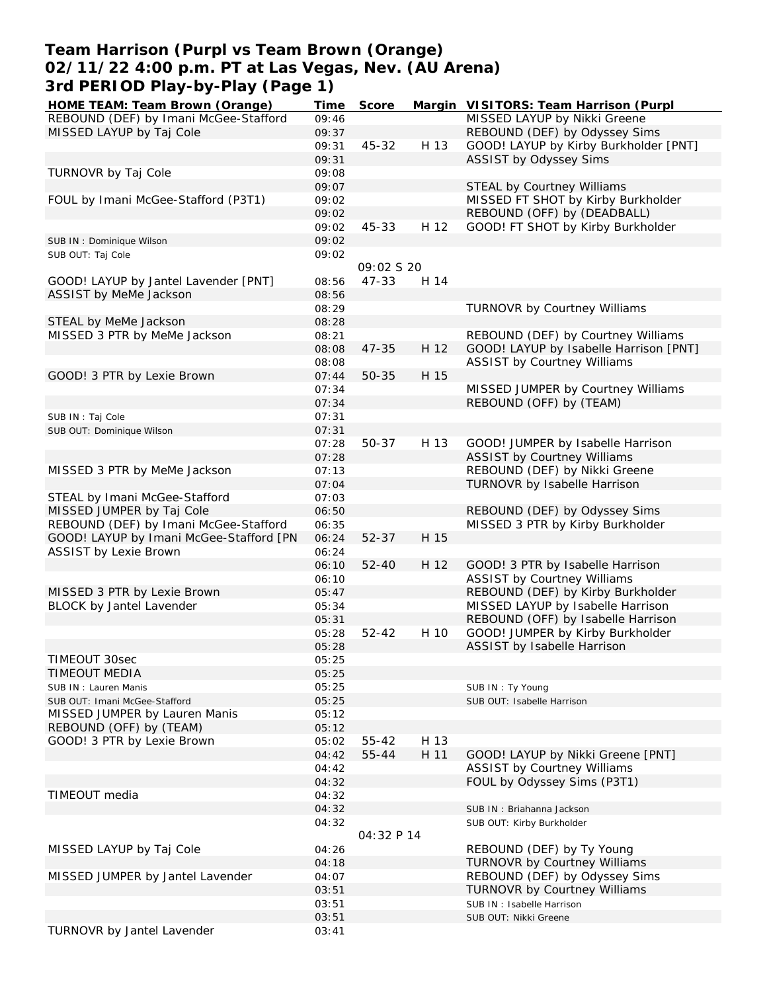## **Team Harrison (Purpl vs Team Brown (Orange) 02/11/22 4:00 p.m. PT at Las Vegas, Nev. (AU Arena) 3rd PERIOD Play-by-Play (Page 1)**

| HOME TEAM: Team Brown (Orange)          | Time  | Score       |      | Margin VISITORS: Team Harrison (Purpl  |
|-----------------------------------------|-------|-------------|------|----------------------------------------|
| REBOUND (DEF) by Imani McGee-Stafford   | 09:46 |             |      | MISSED LAYUP by Nikki Greene           |
| MISSED LAYUP by Taj Cole                | 09:37 |             |      | REBOUND (DEF) by Odyssey Sims          |
|                                         | 09:31 | 45-32       | H 13 | GOOD! LAYUP by Kirby Burkholder [PNT]  |
|                                         | 09:31 |             |      | ASSIST by Odyssey Sims                 |
| TURNOVR by Taj Cole                     | 09:08 |             |      |                                        |
|                                         | 09:07 |             |      | <b>STEAL by Courtney Williams</b>      |
| FOUL by Imani McGee-Stafford (P3T1)     | 09:02 |             |      | MISSED FT SHOT by Kirby Burkholder     |
|                                         | 09:02 |             |      | REBOUND (OFF) by (DEADBALL)            |
|                                         | 09:02 | 45-33       | H 12 | GOOD! FT SHOT by Kirby Burkholder      |
|                                         |       |             |      |                                        |
| SUB IN: Dominique Wilson                | 09:02 |             |      |                                        |
| SUB OUT: Taj Cole                       | 09:02 |             |      |                                        |
|                                         |       | 09:02 \$ 20 |      |                                        |
| GOOD! LAYUP by Jantel Lavender [PNT]    | 08:56 | 47-33       | H 14 |                                        |
| ASSIST by MeMe Jackson                  | 08:56 |             |      |                                        |
|                                         | 08:29 |             |      | <b>TURNOVR by Courtney Williams</b>    |
| STEAL by MeMe Jackson                   | 08:28 |             |      |                                        |
| MISSED 3 PTR by MeMe Jackson            | 08:21 |             |      | REBOUND (DEF) by Courtney Williams     |
|                                         | 08:08 | $47 - 35$   | H 12 | GOOD! LAYUP by Isabelle Harrison [PNT] |
|                                         | 08:08 |             |      | <b>ASSIST by Courtney Williams</b>     |
| GOOD! 3 PTR by Lexie Brown              | 07:44 | $50 - 35$   | H 15 |                                        |
|                                         | 07:34 |             |      | MISSED JUMPER by Courtney Williams     |
|                                         | 07:34 |             |      | REBOUND (OFF) by (TEAM)                |
| SUB IN: Taj Cole                        | 07:31 |             |      |                                        |
| SUB OUT: Dominique Wilson               | 07:31 |             |      |                                        |
|                                         | 07:28 | 50-37       | H 13 | GOOD! JUMPER by Isabelle Harrison      |
|                                         |       |             |      |                                        |
|                                         | 07:28 |             |      | <b>ASSIST by Courtney Williams</b>     |
| MISSED 3 PTR by MeMe Jackson            | 07:13 |             |      | REBOUND (DEF) by Nikki Greene          |
|                                         | 07:04 |             |      | TURNOVR by Isabelle Harrison           |
| STEAL by Imani McGee-Stafford           | 07:03 |             |      |                                        |
| MISSED JUMPER by Taj Cole               | 06:50 |             |      | REBOUND (DEF) by Odyssey Sims          |
| REBOUND (DEF) by Imani McGee-Stafford   | 06:35 |             |      | MISSED 3 PTR by Kirby Burkholder       |
| GOOD! LAYUP by Imani McGee-Stafford [PN | 06:24 | $52 - 37$   | H 15 |                                        |
| ASSIST by Lexie Brown                   | 06:24 |             |      |                                        |
|                                         | 06:10 | $52 - 40$   | H 12 | GOOD! 3 PTR by Isabelle Harrison       |
|                                         | 06:10 |             |      | <b>ASSIST by Courtney Williams</b>     |
| MISSED 3 PTR by Lexie Brown             | 05:47 |             |      | REBOUND (DEF) by Kirby Burkholder      |
| BLOCK by Jantel Lavender                | 05:34 |             |      | MISSED LAYUP by Isabelle Harrison      |
|                                         | 05:31 |             |      | REBOUND (OFF) by Isabelle Harrison     |
|                                         | 05:28 | $52 - 42$   | H 10 | GOOD! JUMPER by Kirby Burkholder       |
|                                         | 05:28 |             |      | ASSIST by Isabelle Harrison            |
| TIMEOUT 30sec                           | 05:25 |             |      |                                        |
| <b>TIMEOUT MEDIA</b>                    | 05:25 |             |      |                                        |
|                                         |       |             |      |                                        |
| SUB IN: Lauren Manis                    | 05:25 |             |      | SUB IN: Ty Young                       |
| SUB OUT: Imani McGee-Stafford           | 05:25 |             |      | SUB OUT: Isabelle Harrison             |
| MISSED JUMPER by Lauren Manis           | 05:12 |             |      |                                        |
| REBOUND (OFF) by (TEAM)                 | 05:12 |             |      |                                        |
| GOOD! 3 PTR by Lexie Brown              | 05:02 | 55-42       | H 13 |                                        |
|                                         | 04:42 | 55-44       | H 11 | GOOD! LAYUP by Nikki Greene [PNT]      |
|                                         | 04:42 |             |      | ASSIST by Courtney Williams            |
|                                         | 04:32 |             |      | FOUL by Odyssey Sims (P3T1)            |
| TIMEOUT media                           | 04:32 |             |      |                                        |
|                                         | 04:32 |             |      | SUB IN: Briahanna Jackson              |
|                                         | 04:32 |             |      | SUB OUT: Kirby Burkholder              |
|                                         |       | 04:32 P 14  |      |                                        |
| MISSED LAYUP by Taj Cole                | 04:26 |             |      | REBOUND (DEF) by Ty Young              |
|                                         | 04:18 |             |      | <b>TURNOVR by Courtney Williams</b>    |
| MISSED JUMPER by Jantel Lavender        | 04:07 |             |      | REBOUND (DEF) by Odyssey Sims          |
|                                         |       |             |      |                                        |
|                                         | 03:51 |             |      | TURNOVR by Courtney Williams           |
|                                         | 03:51 |             |      | SUB IN: Isabelle Harrison              |
|                                         | 03:51 |             |      | SUB OUT: Nikki Greene                  |
| TURNOVR by Jantel Lavender              | 03:41 |             |      |                                        |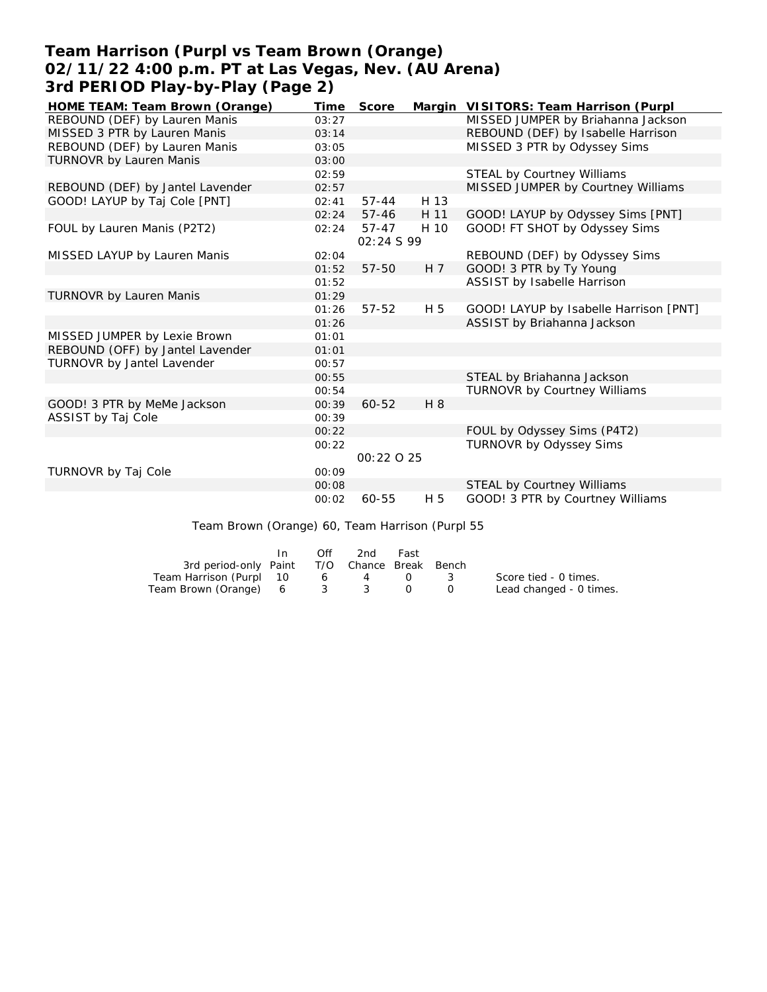### **Team Harrison (Purpl vs Team Brown (Orange) 02/11/22 4:00 p.m. PT at Las Vegas, Nev. (AU Arena) 3rd PERIOD Play-by-Play (Page 2)**

| HOME TEAM: Team Brown (Orange)   | Time  | Score     |      | Margin VISITORS: Team Harrison (Purpl  |
|----------------------------------|-------|-----------|------|----------------------------------------|
| REBOUND (DEF) by Lauren Manis    | 03:27 |           |      | MISSED JUMPER by Briahanna Jackson     |
| MISSED 3 PTR by Lauren Manis     | 03:14 |           |      | REBOUND (DEF) by Isabelle Harrison     |
| REBOUND (DEF) by Lauren Manis    | 03:05 |           |      | MISSED 3 PTR by Odyssey Sims           |
| TURNOVR by Lauren Manis          | 03:00 |           |      |                                        |
|                                  | 02:59 |           |      | STEAL by Courtney Williams             |
| REBOUND (DEF) by Jantel Lavender | 02:57 |           |      | MISSED JUMPER by Courtney Williams     |
| GOOD! LAYUP by Taj Cole [PNT]    | 02:41 | $57 - 44$ | H 13 |                                        |
|                                  | 02:24 | $57 - 46$ | H 11 | GOOD! LAYUP by Odyssey Sims [PNT]      |
| FOUL by Lauren Manis (P2T2)      | 02:24 | 57-47     | H 10 | GOOD! FT SHOT by Odyssey Sims          |
|                                  |       | 02:24S99  |      |                                        |
| MISSED LAYUP by Lauren Manis     | 02:04 |           |      | REBOUND (DEF) by Odyssey Sims          |
|                                  | 01:52 | 57-50     | H 7  | GOOD! 3 PTR by Ty Young                |
|                                  | 01:52 |           |      | ASSIST by Isabelle Harrison            |
| TURNOVR by Lauren Manis          | 01:29 |           |      |                                        |
|                                  | 01:26 | 57-52     | H 5  | GOOD! LAYUP by Isabelle Harrison [PNT] |
|                                  | 01:26 |           |      | ASSIST by Briahanna Jackson            |
| MISSED JUMPER by Lexie Brown     | 01:01 |           |      |                                        |
| REBOUND (OFF) by Jantel Lavender | 01:01 |           |      |                                        |
| TURNOVR by Jantel Lavender       | 00:57 |           |      |                                        |
|                                  | 00:55 |           |      | STEAL by Briahanna Jackson             |
|                                  | 00:54 |           |      | <b>TURNOVR by Courtney Williams</b>    |
| GOOD! 3 PTR by MeMe Jackson      | 00:39 | 60-52     | H 8  |                                        |
| ASSIST by Taj Cole               | 00:39 |           |      |                                        |
|                                  | 00:22 |           |      | FOUL by Odyssey Sims (P4T2)            |
|                                  | 00:22 |           |      | TURNOVR by Odyssey Sims                |
|                                  |       | 00:22025  |      |                                        |
| <b>TURNOVR by Taj Cole</b>       | 00:09 |           |      |                                        |
|                                  | 00:08 |           |      | STEAL by Courtney Williams             |
|                                  | 00:02 | 60-55     | H 5  | GOOD! 3 PTR by Courtney Williams       |

Team Brown (Orange) 60, Team Harrison (Purpl 55

|                                              | In In | Off.            | 2nd | Fast                                            |                         |
|----------------------------------------------|-------|-----------------|-----|-------------------------------------------------|-------------------------|
| 3rd period-only Paint T/O Chance Break Bench |       |                 |     |                                                 |                         |
| Team Harrison (Purpl 10                      |       | $6\overline{6}$ | 4   | $\left( \begin{array}{ccc} \end{array} \right)$ | Score tied - 0 times.   |
| Team Brown (Orange) 6 3 3 0                  |       |                 |     |                                                 | Lead changed - 0 times. |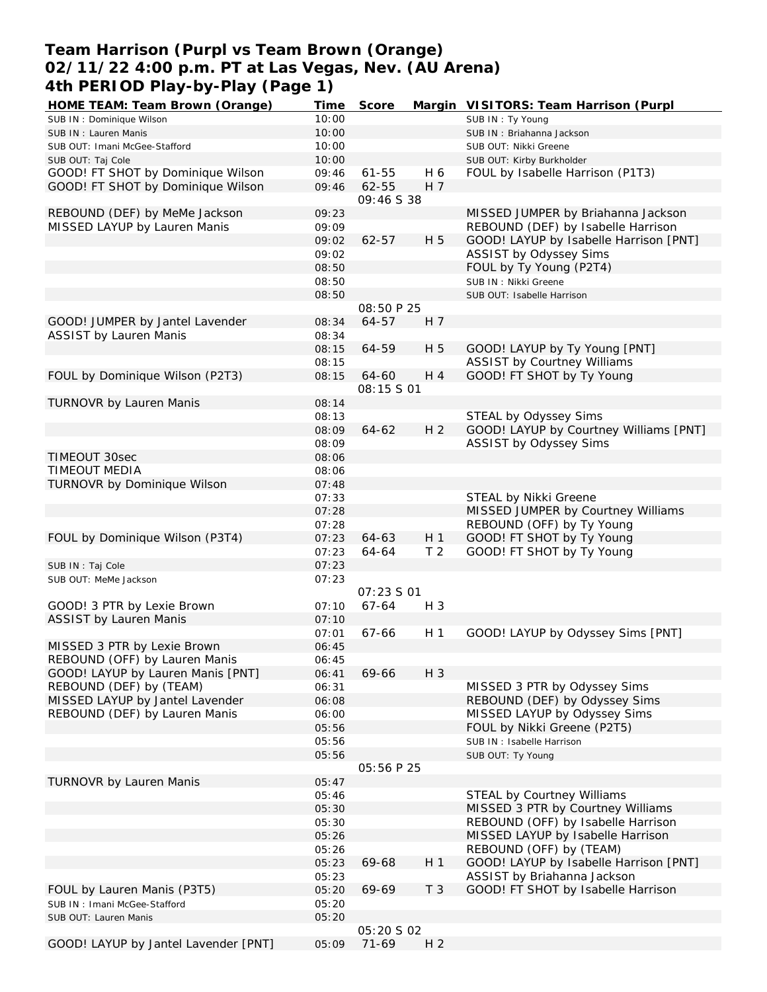### **Team Harrison (Purpl vs Team Brown (Orange) 02/11/22 4:00 p.m. PT at Las Vegas, Nev. (AU Arena) 4th PERIOD Play-by-Play (Page 1)**

| HOME TEAM: Team Brown (Orange)       | Time  | Score             |                | Margin VISITORS: Team Harrison (Purpl  |
|--------------------------------------|-------|-------------------|----------------|----------------------------------------|
| SUB IN: Dominique Wilson             | 10:00 |                   |                | SUB IN: Ty Young                       |
| SUB IN: Lauren Manis                 | 10:00 |                   |                | SUB IN: Briahanna Jackson              |
| SUB OUT: Imani McGee-Stafford        | 10:00 |                   |                | SUB OUT: Nikki Greene                  |
| SUB OUT: Taj Cole                    | 10:00 |                   |                | SUB OUT: Kirby Burkholder              |
| GOOD! FT SHOT by Dominique Wilson    | 09:46 | $61 - 55$         | H 6            | FOUL by Isabelle Harrison (P1T3)       |
| GOOD! FT SHOT by Dominique Wilson    | 09:46 | 62-55             | H 7            |                                        |
|                                      |       | 09:46 S 38        |                |                                        |
| REBOUND (DEF) by MeMe Jackson        | 09:23 |                   |                | MISSED JUMPER by Briahanna Jackson     |
| MISSED LAYUP by Lauren Manis         | 09:09 |                   |                | REBOUND (DEF) by Isabelle Harrison     |
|                                      | 09:02 | 62-57             | H 5            | GOOD! LAYUP by Isabelle Harrison [PNT] |
|                                      | 09:02 |                   |                | ASSIST by Odyssey Sims                 |
|                                      | 08:50 |                   |                | FOUL by Ty Young (P2T4)                |
|                                      | 08:50 |                   |                | SUB IN : Nikki Greene                  |
|                                      | 08:50 |                   |                | SUB OUT: Isabelle Harrison             |
|                                      |       | 08:50 P 25        |                |                                        |
| GOOD! JUMPER by Jantel Lavender      | 08:34 | 64-57             | H 7            |                                        |
| <b>ASSIST by Lauren Manis</b>        | 08:34 |                   |                |                                        |
|                                      | 08:15 | 64-59             | H 5            | GOOD! LAYUP by Ty Young [PNT]          |
|                                      | 08:15 |                   |                | <b>ASSIST by Courtney Williams</b>     |
| FOUL by Dominique Wilson (P2T3)      | 08:15 | 64-60             | H 4            | GOOD! FT SHOT by Ty Young              |
|                                      |       | 08:15 S 01        |                |                                        |
| TURNOVR by Lauren Manis              | 08:14 |                   |                |                                        |
|                                      | 08:13 |                   |                | STEAL by Odyssey Sims                  |
|                                      | 08:09 | $64 - 62$         | H <sub>2</sub> | GOOD! LAYUP by Courtney Williams [PNT] |
|                                      | 08:09 |                   |                | ASSIST by Odyssey Sims                 |
| TIMEOUT 30sec                        | 08:06 |                   |                |                                        |
| <b>TIMEOUT MEDIA</b>                 | 08:06 |                   |                |                                        |
| TURNOVR by Dominique Wilson          | 07:48 |                   |                |                                        |
|                                      | 07:33 |                   |                | STEAL by Nikki Greene                  |
|                                      | 07:28 |                   |                | MISSED JUMPER by Courtney Williams     |
|                                      | 07:28 |                   |                | REBOUND (OFF) by Ty Young              |
| FOUL by Dominique Wilson (P3T4)      | 07:23 | 64-63             | H <sub>1</sub> | GOOD! FT SHOT by Ty Young              |
|                                      | 07:23 | 64-64             | T <sub>2</sub> | GOOD! FT SHOT by Ty Young              |
| SUB IN: Taj Cole                     | 07:23 |                   |                |                                        |
| SUB OUT: MeMe Jackson                | 07:23 |                   |                |                                        |
|                                      |       | 07:23 S 01        |                |                                        |
| GOOD! 3 PTR by Lexie Brown           | 07:10 | 67-64             | H 3            |                                        |
| <b>ASSIST by Lauren Manis</b>        | 07:10 |                   |                |                                        |
|                                      | 07:01 | 67-66             | H <sub>1</sub> | GOOD! LAYUP by Odyssey Sims [PNT]      |
| MISSED 3 PTR by Lexie Brown          | 06:45 |                   |                |                                        |
| REBOUND (OFF) by Lauren Manis        | 06:45 |                   |                |                                        |
| GOOD! LAYUP by Lauren Manis [PNT]    | 06:41 | 69-66             | $H_3$          |                                        |
| REBOUND (DEF) by (TEAM)              | 06:31 |                   |                | MISSED 3 PTR by Odyssey Sims           |
| MISSED LAYUP by Jantel Lavender      | 06:08 |                   |                | REBOUND (DEF) by Odyssey Sims          |
| REBOUND (DEF) by Lauren Manis        | 06:00 |                   |                | MISSED LAYUP by Odyssey Sims           |
|                                      | 05:56 |                   |                | FOUL by Nikki Greene (P2T5)            |
|                                      | 05:56 |                   |                | SUB IN: Isabelle Harrison              |
|                                      | 05:56 |                   |                | SUB OUT: Ty Young                      |
|                                      |       | 05:56 P 25        |                |                                        |
| <b>TURNOVR by Lauren Manis</b>       | 05:47 |                   |                |                                        |
|                                      | 05:46 |                   |                | STEAL by Courtney Williams             |
|                                      | 05:30 |                   |                | MISSED 3 PTR by Courtney Williams      |
|                                      | 05:30 |                   |                | REBOUND (OFF) by Isabelle Harrison     |
|                                      | 05:26 |                   |                | MISSED LAYUP by Isabelle Harrison      |
|                                      | 05:26 |                   |                | REBOUND (OFF) by (TEAM)                |
|                                      | 05:23 | 69-68             | H <sub>1</sub> | GOOD! LAYUP by Isabelle Harrison [PNT] |
|                                      | 05:23 |                   |                | ASSIST by Briahanna Jackson            |
| FOUL by Lauren Manis (P3T5)          | 05:20 | 69-69             | T <sub>3</sub> | GOOD! FT SHOT by Isabelle Harrison     |
| SUB IN: Imani McGee-Stafford         | 05:20 |                   |                |                                        |
| SUB OUT: Lauren Manis                | 05:20 |                   |                |                                        |
|                                      |       | <i>05:20 S 02</i> |                |                                        |
| GOOD! LAYUP by Jantel Lavender [PNT] | 05:09 | $71-69$           | H <sub>2</sub> |                                        |
|                                      |       |                   |                |                                        |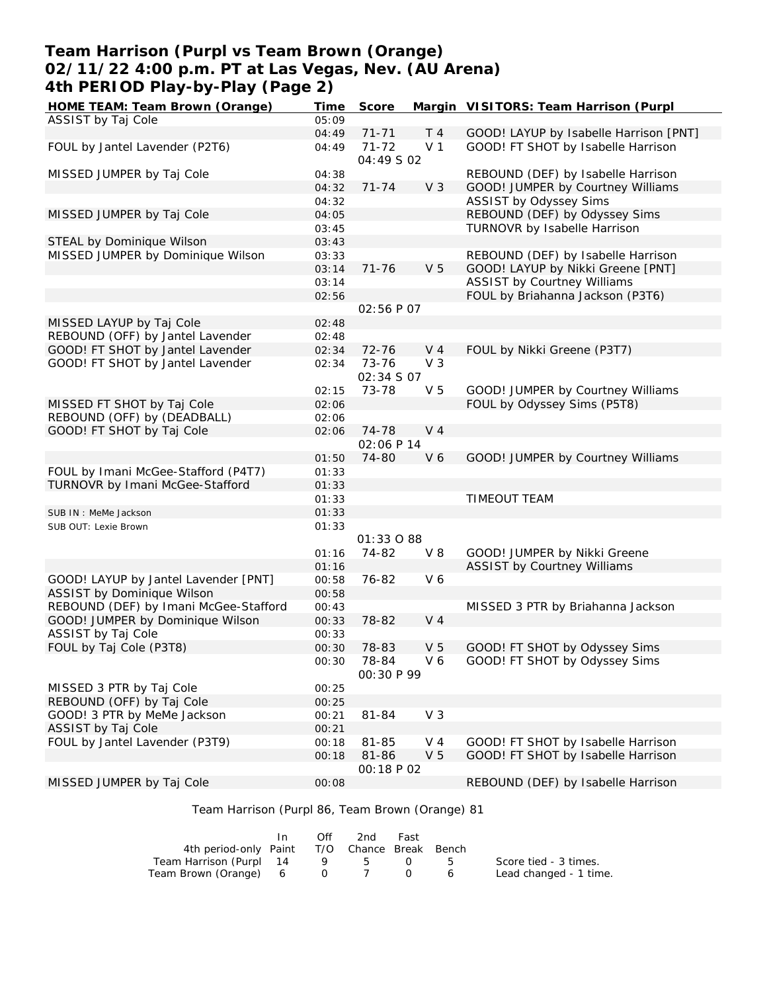### **Team Harrison (Purpl vs Team Brown (Orange) 02/11/22 4:00 p.m. PT at Las Vegas, Nev. (AU Arena) 4th PERIOD Play-by-Play (Page 2)**

| HOME TEAM: Team Brown (Orange)        | Time  | Score      |                | Margin VISITORS: Team Harrison (Purpl  |
|---------------------------------------|-------|------------|----------------|----------------------------------------|
| ASSIST by Taj Cole                    | 05:09 |            |                |                                        |
|                                       | 04:49 | $71 - 71$  | T <sub>4</sub> | GOOD! LAYUP by Isabelle Harrison [PNT] |
| FOUL by Jantel Lavender (P2T6)        | 04:49 | $71 - 72$  | V <sub>1</sub> | GOOD! FT SHOT by Isabelle Harrison     |
|                                       |       | 04:49 S 02 |                |                                        |
| MISSED JUMPER by Taj Cole             | 04:38 |            |                | REBOUND (DEF) by Isabelle Harrison     |
|                                       | 04:32 | $71 - 74$  | V <sub>3</sub> | GOOD! JUMPER by Courtney Williams      |
|                                       | 04:32 |            |                | ASSIST by Odyssey Sims                 |
| MISSED JUMPER by Taj Cole             | 04:05 |            |                | REBOUND (DEF) by Odyssey Sims          |
|                                       | 03:45 |            |                | TURNOVR by Isabelle Harrison           |
| STEAL by Dominique Wilson             | 03:43 |            |                |                                        |
| MISSED JUMPER by Dominique Wilson     | 03:33 |            |                | REBOUND (DEF) by Isabelle Harrison     |
|                                       | 03:14 | $71 - 76$  | V <sub>5</sub> | GOOD! LAYUP by Nikki Greene [PNT]      |
|                                       | 03:14 |            |                | <b>ASSIST by Courtney Williams</b>     |
|                                       | 02:56 |            |                | FOUL by Briahanna Jackson (P3T6)       |
|                                       |       | 02:56 P 07 |                |                                        |
| MISSED LAYUP by Taj Cole              | 02:48 |            |                |                                        |
| REBOUND (OFF) by Jantel Lavender      | 02:48 |            |                |                                        |
| GOOD! FT SHOT by Jantel Lavender      | 02:34 | 72-76      | $V_4$          | FOUL by Nikki Greene (P3T7)            |
| GOOD! FT SHOT by Jantel Lavender      | 02:34 | 73-76      | V <sub>3</sub> |                                        |
|                                       |       | 02:34 S 07 |                |                                        |
|                                       | 02:15 | 73-78      | V <sub>5</sub> | GOOD! JUMPER by Courtney Williams      |
| MISSED FT SHOT by Taj Cole            | 02:06 |            |                | FOUL by Odyssey Sims (P5T8)            |
| REBOUND (OFF) by (DEADBALL)           | 02:06 |            |                |                                        |
| GOOD! FT SHOT by Taj Cole             | 02:06 | 74-78      | V <sub>4</sub> |                                        |
|                                       |       | 02:06 P 14 |                |                                        |
|                                       | 01:50 | 74-80      | V6             | GOOD! JUMPER by Courtney Williams      |
| FOUL by Imani McGee-Stafford (P4T7)   | 01:33 |            |                |                                        |
| TURNOVR by Imani McGee-Stafford       | 01:33 |            |                |                                        |
|                                       | 01:33 |            |                | TIMEOUT TEAM                           |
| SUB IN : MeMe Jackson                 | 01:33 |            |                |                                        |
| SUB OUT: Lexie Brown                  | 01:33 |            |                |                                        |
|                                       |       | 01:33 0 88 |                |                                        |
|                                       | 01:16 | 74-82      | $V_8$          | GOOD! JUMPER by Nikki Greene           |
|                                       | 01:16 |            |                | <b>ASSIST by Courtney Williams</b>     |
| GOOD! LAYUP by Jantel Lavender [PNT]  | 00:58 | 76-82      | V6             |                                        |
| ASSIST by Dominique Wilson            | 00:58 |            |                |                                        |
| REBOUND (DEF) by Imani McGee-Stafford | 00:43 |            |                | MISSED 3 PTR by Briahanna Jackson      |
| GOOD! JUMPER by Dominique Wilson      | 00:33 | 78-82      | V <sub>4</sub> |                                        |
| ASSIST by Taj Cole                    | 00:33 |            |                |                                        |
| FOUL by Taj Cole (P3T8)               | 00:30 | 78-83      | V <sub>5</sub> | GOOD! FT SHOT by Odyssey Sims          |
|                                       | 00:30 | 78-84      | V6             | GOOD! FT SHOT by Odyssey Sims          |
|                                       |       | 00:30 P 99 |                |                                        |
| MISSED 3 PTR by Taj Cole              | 00:25 |            |                |                                        |
| REBOUND (OFF) by Taj Cole             | 00:25 |            |                |                                        |
| GOOD! 3 PTR by MeMe Jackson           | 00:21 | 81-84      | V <sub>3</sub> |                                        |
| ASSIST by Taj Cole                    | 00:21 |            |                |                                        |
| FOUL by Jantel Lavender (P3T9)        | 00:18 | 81-85      | V 4            | GOOD! FT SHOT by Isabelle Harrison     |
|                                       | 00:18 | 81-86      | V <sub>5</sub> | GOOD! FT SHOT by Isabelle Harrison     |
|                                       |       | 00:18 P 02 |                |                                        |
| MISSED JUMPER by Taj Cole             | 00:08 |            |                | REBOUND (DEF) by Isabelle Harrison     |
|                                       |       |            |                |                                        |

### Team Harrison (Purpl 86, Team Brown (Orange) 81

|                                              | Off | 2nd | Fast |           |                        |
|----------------------------------------------|-----|-----|------|-----------|------------------------|
| 4th period-only Paint T/O Chance Break Bench |     |     |      |           |                        |
| Team Harrison (Purpl 14                      |     | 9 5 |      | $0\quad5$ | Score tied - 3 times.  |
| Team Brown (Orange) 6 0 7                    |     |     |      |           | Lead changed - 1 time. |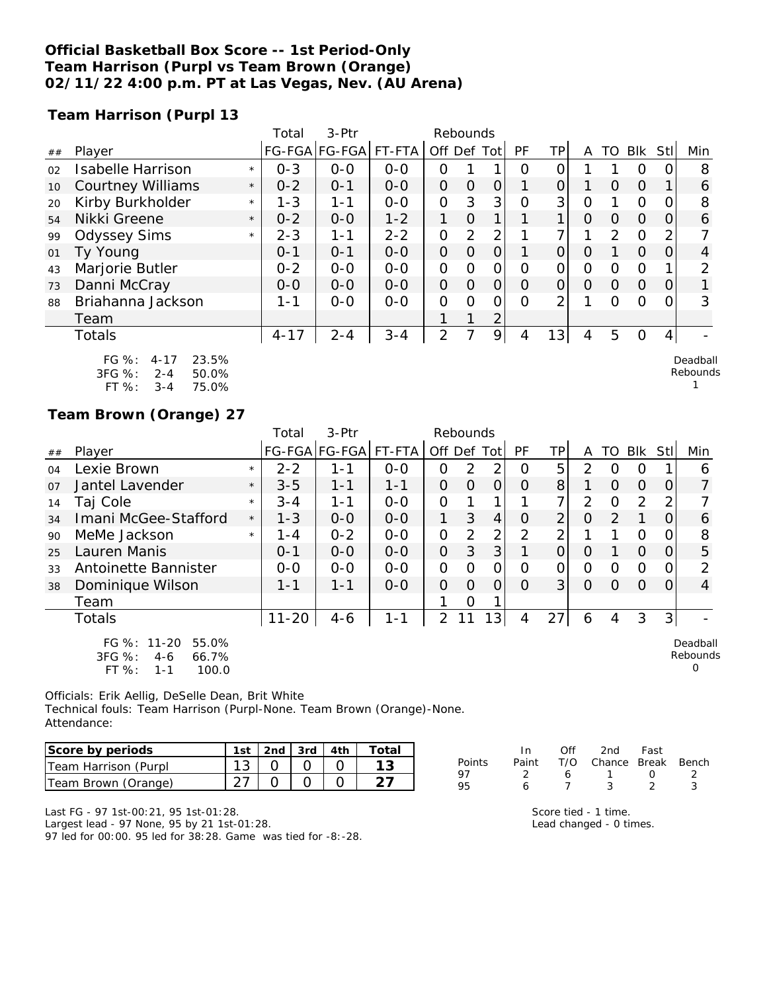#### **Official Basketball Box Score -- 1st Period-Only Team Harrison (Purpl vs Team Brown (Orange) 02/11/22 4:00 p.m. PT at Las Vegas, Nev. (AU Arena)**

**Team Harrison (Purpl 13**

|    |                                                                                       |         | Total    | 3-Ptr                |         | Rebounds       |                |                |          |                |                |                |               |          |                      |
|----|---------------------------------------------------------------------------------------|---------|----------|----------------------|---------|----------------|----------------|----------------|----------|----------------|----------------|----------------|---------------|----------|----------------------|
| ## | Player                                                                                |         |          | FG-FGA FG-FGA FT-FTA |         | Off Def Tot    |                |                | PF       | <b>TP</b>      | A              |                | TO BIK StI    |          | Min                  |
| 02 | Isabelle Harrison                                                                     | $\star$ | $0 - 3$  | $0-0$                | $0-0$   | 0              |                |                | 0        | 0              |                |                | 0             |          | 8                    |
| 10 | <b>Courtney Williams</b>                                                              | $\star$ | $0 - 2$  | $0 - 1$              | $0-0$   | $\overline{O}$ | $\Omega$       | 0              |          | $\overline{O}$ |                | $\overline{O}$ | $\Omega$      |          | 6                    |
| 20 | Kirby Burkholder                                                                      | $\star$ | $1 - 3$  | $1 - 1$              | $0-0$   | O              | 3              | 3              | 0        | 3              | $\mathcal{O}$  |                | $\Omega$      | O        | 8                    |
| 54 | Nikki Greene                                                                          | $\star$ | $0 - 2$  | $0-0$                | $1 - 2$ | 1              | $\overline{O}$ | $\mathbf{1}$   |          | 1              | 0              | $\Omega$       | $\Omega$      | 0        | 6                    |
| 99 | <b>Odyssey Sims</b>                                                                   | $\star$ | $2 - 3$  | $1 - 1$              | $2 - 2$ | $\overline{O}$ | $\overline{2}$ | $\overline{2}$ |          | $\overline{7}$ |                | 2              | $\Omega$      |          |                      |
| 01 | Ty Young                                                                              |         | $0 - 1$  | $0 - 1$              | $O-O$   | $\overline{O}$ | $\Omega$       | $\overline{O}$ |          | 0              | $\Omega$       |                | $\Omega$      | $\Omega$ | 4                    |
| 43 | Marjorie Butler                                                                       |         | $0 - 2$  | $0-0$                | $0-0$   | O              | O              | 0              | 0        | 0              | $\mathcal{O}$  | $\mathbf{O}$   | $\mathcal{O}$ |          | 2                    |
| 73 | Danni McCray                                                                          |         | $0-0$    | $0-0$                | $0-0$   | $\overline{O}$ | $\overline{O}$ | $\overline{O}$ | $\Omega$ | 0              | $\overline{O}$ | $\overline{O}$ | $\Omega$      | $\Omega$ |                      |
| 88 | Briahanna Jackson                                                                     |         | $1 - 1$  | $0-0$                | $0-0$   | O              | O              | 0              | $\Omega$ | $\overline{2}$ |                | 0              | $\Omega$      |          | 3                    |
|    | Team                                                                                  |         |          |                      |         | 1              |                | $\overline{2}$ |          |                |                |                |               |          |                      |
|    | Totals                                                                                |         | $4 - 17$ | $2 - 4$              | $3 - 4$ | 2              | 7              | $\overline{9}$ | 4        | 13             | $\overline{4}$ | 5              | $\Omega$      | 4        |                      |
|    | FG %:<br>23.5%<br>$4 - 17$<br>3FG %:<br>$2 - 4$<br>50.0%<br>FT %:<br>$3 - 4$<br>75.0% |         |          |                      |         |                |                |                |          |                |                |                |               |          | Deadball<br>Rebounds |
|    | Team Brown (Orange) 27                                                                |         |          |                      |         |                |                |                |          |                |                |                |               |          |                      |
|    |                                                                                       |         | Total    | 3-Ptr                |         | Rebounds       |                |                |          |                |                |                |               |          |                      |
|    | $ \cdot$                                                                              |         |          | تمديدا بمدا          | -- -- - | $\cdots$       |                |                |          | ---            |                |                | .             |          |                      |

| ## | Player                                                                            |         |           | FG-FGA FG-FGA  FT-FTA |         | Off Def Tot |          |                | <b>PF</b> | ТP             | A              | TO            | Blk      | Stll           | Min                       |
|----|-----------------------------------------------------------------------------------|---------|-----------|-----------------------|---------|-------------|----------|----------------|-----------|----------------|----------------|---------------|----------|----------------|---------------------------|
| 04 | Lexie Brown                                                                       | $\star$ | $2 - 2$   | 1 - 1                 | $O - O$ | 0           | 2        | 2              | O         | 5              | 2              | $\Omega$      | O        |                | 6                         |
| 07 | Jantel Lavender                                                                   | $\star$ | $3 - 5$   | $1 - 1$               | $1 - 1$ | 0           | $\Omega$ | $\overline{O}$ | O         | 8              |                | $\Omega$      | $\Omega$ | 0              |                           |
| 14 | Taj Cole                                                                          | $\star$ | $3 - 4$   | 1-1                   | $O - O$ | 0           |          |                |           | ᄀ              | $\overline{2}$ | O             | 2        | $\mathcal{P}$  |                           |
| 34 | Imani McGee-Stafford                                                              | $\star$ | $1 - 3$   | $0 - 0$               | $0 - 0$ | 1           | 3        | $\overline{4}$ | $\Omega$  | $\overline{2}$ | O              | $\mathcal{P}$ |          | 0              | 6                         |
| 90 | MeMe Jackson                                                                      | $\star$ | $1 - 4$   | $0 - 2$               | $0 - 0$ | 0           | 2        | $\overline{2}$ | 2         | っ              |                |               | 0        | $\Omega$       | 8                         |
| 25 | Lauren Manis                                                                      |         | $0 - 1$   | $0 - 0$               | $0 - 0$ | 0           | 3        | 3              |           | 0              | $\Omega$       |               | $\Omega$ | 0              | 5                         |
| 33 | Antoinette Bannister                                                              |         | $0 - 0$   | $0 - 0$               | $0 - 0$ | 0           | 0        | $\overline{O}$ | $\Omega$  | 0              | $\Omega$       | O             | $\circ$  | 0              | 2                         |
| 38 | Dominique Wilson                                                                  |         | $1 - 1$   | $1 - 1$               | $O-O$   | 0           | $\Omega$ | $\Omega$       | $\Omega$  | 3              | $\Omega$       | $\Omega$      | $\Omega$ | $\Omega$       | 4                         |
|    | Team                                                                              |         |           |                       |         |             | 0        |                |           |                |                |               |          |                |                           |
|    | <b>Totals</b>                                                                     |         | $11 - 20$ | $4 - 6$               | $1 - 1$ | 2           | 11       | 3<br>1         | 4         | 27             | 6              | 4             | 3        | 3 <sup>1</sup> |                           |
|    | FG %: 11-20<br>55.0%<br>$3FG \%$ :<br>66.7%<br>$4-6$<br>FT %:<br>100.0<br>$1 - 1$ |         |           |                       |         |             |          |                |           |                |                |               |          |                | Deadball<br>Rebounds<br>O |

Officials: Erik Aellig, DeSelle Dean, Brit White Technical fouls: Team Harrison (Purpl-None. Team Brown (Orange)-None. Attendance:

| Score by periods     | 1st | $2nd$ 3rd $4th$ |  |  |
|----------------------|-----|-----------------|--|--|
| Team Harrison (Purpl |     |                 |  |  |
| Team Brown (Orange)  |     |                 |  |  |

|        | In. | Off | 2nd                          | Fast       |  |
|--------|-----|-----|------------------------------|------------|--|
| Points |     |     | Paint T/O Chance Break Bench |            |  |
| 97     |     | 6.  | $\mathbf{1}$                 | $\sqrt{ }$ |  |
| 95     | 6   |     | ર                            |            |  |

Last FG - 97 1st-00:21, 95 1st-01:28.

Largest lead - 97 None, 95 by 21 1st-01:28.

97 led for 00:00. 95 led for 38:28. Game was tied for -8:-28.

Score tied - 1 time. Lead changed - 0 times.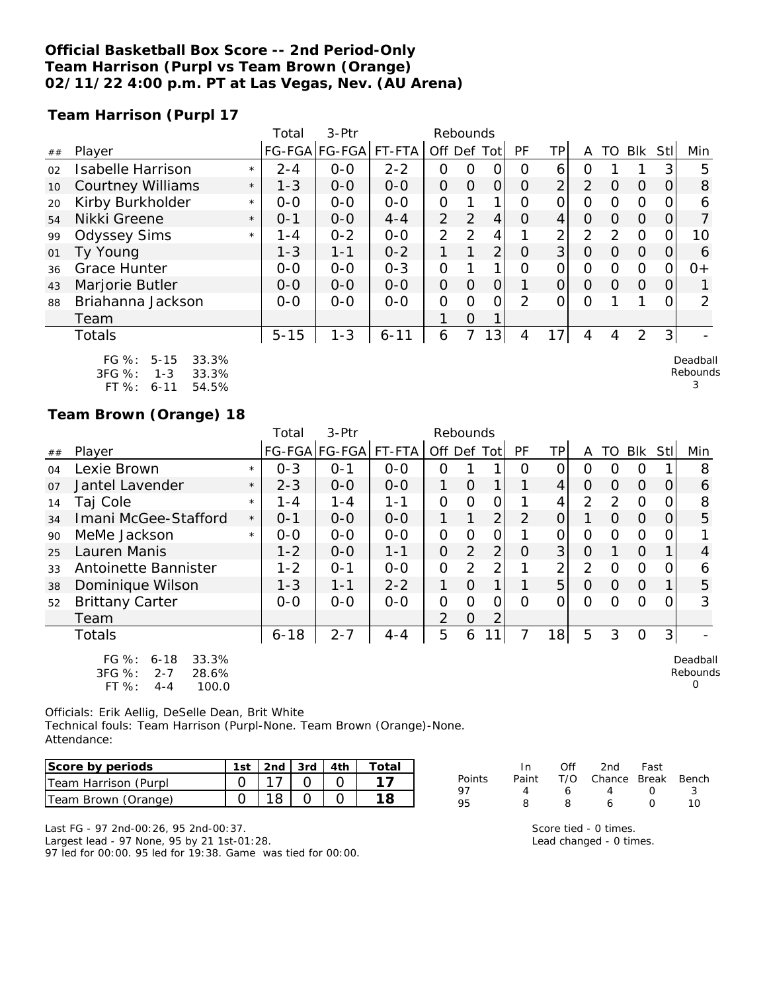#### **Official Basketball Box Score -- 2nd Period-Only Team Harrison (Purpl vs Team Brown (Orange) 02/11/22 4:00 p.m. PT at Las Vegas, Nev. (AU Arena)**

**Team Harrison (Purpl 17**

|    |                                                                                        |         | Total    | 3-Ptr                 |          | Rebounds       |          |                |          |                |                |          |              |          |                           |
|----|----------------------------------------------------------------------------------------|---------|----------|-----------------------|----------|----------------|----------|----------------|----------|----------------|----------------|----------|--------------|----------|---------------------------|
| ## | Player                                                                                 |         |          | FG-FGA FG-FGA  FT-FTA |          | Off Def Tot    |          |                | PF       | ΤP             | A              | TO       | Blk          | Stll     | Min                       |
| 02 | <b>Isabelle Harrison</b>                                                               | $\star$ | $2 - 4$  | $0 - 0$               | $2 - 2$  | Ο              | Ο        |                | $\Omega$ | 6              | 0              |          |              | 3        | 5                         |
| 10 | <b>Courtney Williams</b>                                                               | $\star$ | $1 - 3$  | $0 - 0$               | $0 - 0$  | $\overline{O}$ | 0        | 0              | $\Omega$ | $\overline{2}$ | $\overline{2}$ | $\Omega$ | $\Omega$     | 0        | 8                         |
| 20 | Kirby Burkholder                                                                       | $\star$ | $0-0$    | $O-O$                 | $0 - 0$  | 0              |          |                | O        | 0              | 0              | 0        | $\Omega$     |          | 6                         |
| 54 | Nikki Greene                                                                           | $\star$ | $0 - 1$  | $0-0$                 | $4 - 4$  | $\overline{2}$ | 2        | 4              | O        | 4              | 0              | 0        | $\Omega$     | O        |                           |
| 99 | <b>Odyssey Sims</b>                                                                    | $\star$ | 1 - 4    | $0 - 2$               | $0-0$    | $\overline{2}$ | 2        | 4              |          | $\overline{2}$ | $\overline{2}$ | 2        | $\Omega$     | $\Omega$ | 10                        |
| 01 | Ty Young                                                                               |         | $1 - 3$  | $1 - 1$               | $0 - 2$  | 1.             | 1        | 2 <sub>1</sub> | $\Omega$ | 3 <sup>1</sup> | $\Omega$       | $\Omega$ | $\Omega$     | $\Omega$ | 6                         |
| 36 | Grace Hunter                                                                           |         | $0-0$    | $0-0$                 | $0 - 3$  | 0              |          | 1              | O        | 0              | 0              | $\Omega$ | $\mathbf{O}$ | O        | $0+$                      |
| 43 | Marjorie Butler                                                                        |         | $0 - 0$  | $0-0$                 | $0-0$    | $\overline{O}$ | $\Omega$ | 0              |          | $\overline{O}$ | $\Omega$       | $\Omega$ | $\Omega$     | $\Omega$ |                           |
| 88 | Briahanna Jackson                                                                      |         | $0 - 0$  | $0-0$                 | $0-0$    | 0              | $\Omega$ | O              | 2        | 0              | $\Omega$       |          |              |          | 2                         |
|    | Team                                                                                   |         |          |                       |          | 1              | $\Omega$ |                |          |                |                |          |              |          |                           |
|    | <b>Totals</b>                                                                          |         | $5 - 15$ | $1 - 3$               | $6 - 11$ | 6              | 7        | 13             | 4        | 17             | 4              | 4        | 2            | 3        |                           |
|    | FG %:<br>$5 - 15$<br>33.3%<br>3FG %:<br>33.3%<br>$1 - 3$<br>FT %:<br>54.5%<br>$6 - 11$ |         |          |                       |          |                |          |                |          |                |                |          |              |          | Deadball<br>Rebounds<br>3 |

### **Team Brown (Orange) 18**

|    |                                                                                           |         | Total    | 3-Ptr   |                      | Rebounds       |                |                |          |                |                |          |          |          |                           |
|----|-------------------------------------------------------------------------------------------|---------|----------|---------|----------------------|----------------|----------------|----------------|----------|----------------|----------------|----------|----------|----------|---------------------------|
| ## | Player                                                                                    |         |          |         | FG-FGA FG-FGA FT-FTA | Off Def Tot    |                |                | PF       | ΤP             | A              | TO.      | Blk      | Stll     | Min                       |
| 04 | Lexie Brown                                                                               | $\star$ | $0 - 3$  | $O - 1$ | $0 - 0$              | 0              |                |                | O        | O              | 0              | 0        | O        |          | 8                         |
| 07 | Jantel Lavender                                                                           | $\star$ | $2 - 3$  | $0 - 0$ | $O - O$              | 1              | $\Omega$       | 1              |          | 4              | $\Omega$       | $\Omega$ | $\Omega$ | 0        | 6                         |
| 14 | Taj Cole                                                                                  | $\star$ | $1 - 4$  | $1 - 4$ | $1 - 1$              | 0              | O              | O              |          | 4              | $\overline{2}$ | 2        | $\Omega$ |          | 8                         |
| 34 | Imani McGee-Stafford                                                                      | $\star$ | $0 - 1$  | $0 - 0$ | $0 - 0$              |                |                | $\overline{2}$ | 2        | $\overline{O}$ |                | $\Omega$ | $\Omega$ | $\Omega$ | 5                         |
| 90 | MeMe Jackson                                                                              | $\star$ | $0 - 0$  | $0 - 0$ | $O - O$              | 0              | $\Omega$       | O              |          | 0              | 0              | $\Omega$ | $\Omega$ |          |                           |
| 25 | Lauren Manis                                                                              |         | $1 - 2$  | $0 - 0$ | $1 - 1$              | $\overline{O}$ | 2              | $\overline{2}$ | $\Omega$ | 3 <sup>1</sup> | 0              |          | $\Omega$ |          | 4                         |
| 33 | Antoinette Bannister                                                                      |         | $1 - 2$  | $O - 1$ | $O-O$                | $\Omega$       | 2              | $\overline{2}$ |          | $\overline{2}$ | $\overline{2}$ | $\Omega$ | $\Omega$ | O        | 6                         |
| 38 | Dominique Wilson                                                                          |         | $1 - 3$  | $1 - 1$ | $2 - 2$              | 1              | $\Omega$       | 1              |          | 5              | $\Omega$       | $\Omega$ | $\Omega$ |          | 5                         |
| 52 | <b>Brittany Carter</b>                                                                    |         | $O-O$    | $0 - 0$ | $O - O$              | 0              | 0              | 0              | $\Omega$ | 0              | $\Omega$       | $\Omega$ | $\Omega$ |          | 3                         |
|    | Team                                                                                      |         |          |         |                      | $\overline{2}$ | $\overline{O}$ | 2              |          |                |                |          |          |          |                           |
|    | <b>Totals</b>                                                                             |         | $6 - 18$ | $2 - 7$ | $4 - 4$              | 5              | 6              |                |          | 18             | 5              | 3        | $\Omega$ | 3        |                           |
|    | $FG \%$ :<br>33.3%<br>$6 - 18$<br>3FG %:<br>28.6%<br>$2 - 7$<br>FT %:<br>100.0<br>$4 - 4$ |         |          |         |                      |                |                |                |          |                |                |          |          |          | Deadball<br>Rebounds<br>0 |

Officials: Erik Aellig, DeSelle Dean, Brit White

Technical fouls: Team Harrison (Purpl-None. Team Brown (Orange)-None. Attendance:

| Score by periods     | 1st | $\vert$ 2nd $\vert$ 3rd $\vert$ 4th |  | $\tau$ otal |
|----------------------|-----|-------------------------------------|--|-------------|
| Team Harrison (Purpl |     |                                     |  |             |
| Team Brown (Orange)  |     |                                     |  |             |

|  |  | Last FG - 97 2nd-00:26, 95 2nd-00:37. |  |
|--|--|---------------------------------------|--|
|  |  |                                       |  |

Largest lead - 97 None, 95 by 21 1st-01:28.

97 led for 00:00. 95 led for 19:38. Game was tied for 00:00.

| T/O Chance Break Bench |
|------------------------|
| -3                     |
| 10                     |
|                        |

Score tied - 0 times. Lead changed - 0 times.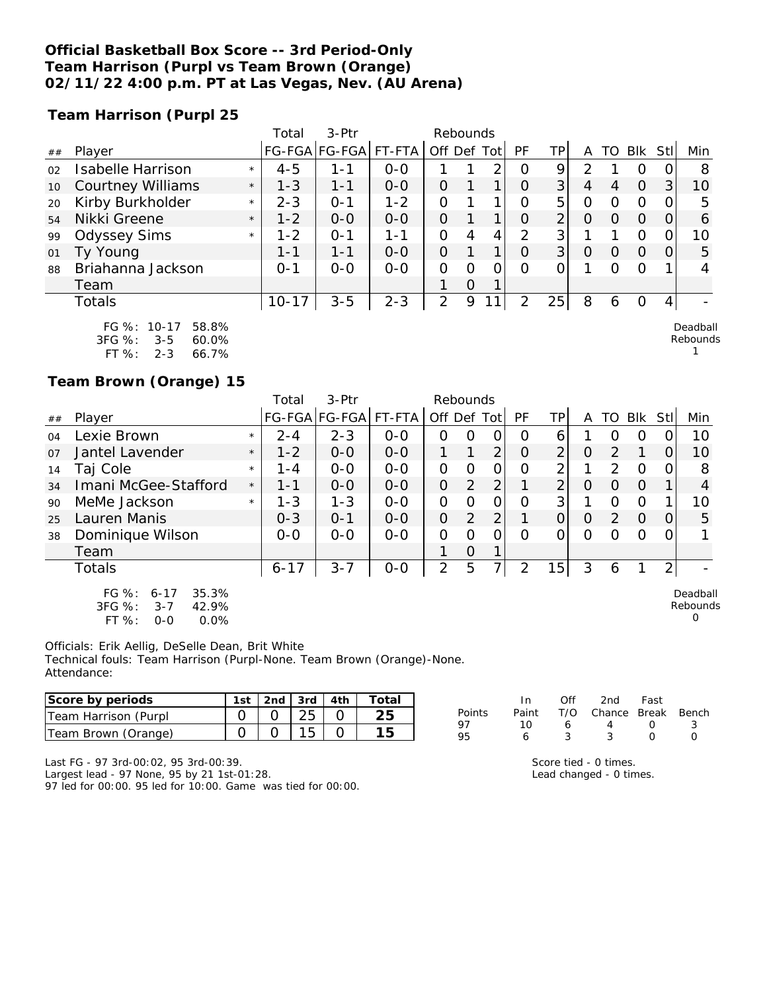#### **Official Basketball Box Score -- 3rd Period-Only Team Harrison (Purpl vs Team Brown (Orange) 02/11/22 4:00 p.m. PT at Las Vegas, Nev. (AU Arena)**

**Team Harrison (Purpl 25**

|    |                          |         | Total     | $3-Ptr$       |         |         | Rebounds |      |               |                |         |    |            |            |          |
|----|--------------------------|---------|-----------|---------------|---------|---------|----------|------|---------------|----------------|---------|----|------------|------------|----------|
| ## | Player                   |         |           | FG-FGA FG-FGA | FT-FTA  | Off Def |          | Totl | PF            | TΡ             | A       | TΟ | <b>BIK</b> | <b>Stl</b> | Min      |
| 02 | Isabelle Harrison        | $\star$ | $4 - 5$   | 1-1           | $0 - 0$ |         |          | 2    | O             | 9              | າ       |    | Ο          | 0          | 8        |
| 10 | <b>Courtney Williams</b> | $\star$ | $1 - 3$   | $1 - 1$       | $0 - 0$ | O       |          | 1    | $\Omega$      | 3              | 4       | 4  | $\Omega$   | 3          | 10       |
| 20 | Kirby Burkholder         | $\star$ | $2 - 3$   | $0 - 1$       | $1 - 2$ | O       |          |      | Ο             | 5              | O       | Ω  | O          | 0          | 5        |
| 54 | Nikki Greene             | $\star$ | $1 - 2$   | $0 - 0$       | $0 - 0$ | O       |          |      | 0             | $\overline{2}$ | 0       | O  | $\Omega$   | 0          | 6        |
| 99 | <b>Odyssey Sims</b>      | $\star$ | $1 - 2$   | $O - 1$       | $1 - 1$ | O       | 4        | 4    | 2             | 3              |         |    | 0          | 0          | 10       |
| 01 | Ty Young                 |         | $1 - 1$   | $1 - 1$       | $0 - 0$ | O       |          | 1    | $\Omega$      | 3              | $\circ$ | O  | $\Omega$   | 0          | 5        |
| 88 | Briahanna Jackson        |         | $0 - 1$   | $0 - 0$       | $0 - 0$ | O       | 0        | 0    | O             |                |         | Ω  | 0          |            | 4        |
|    | Team                     |         |           |               |         |         | $\Omega$ | 1    |               |                |         |    |            |            |          |
|    | Totals                   |         | $10 - 17$ | $3 - 5$       | $2 - 3$ | 2       | 9        | 1    | $\mathcal{P}$ | 25             | 8       | Ô  | Ο          | 4          |          |
|    | FG %: 10-17<br>58.8%     |         |           |               |         |         |          |      |               |                |         |    |            |            | Deadball |

FG %: 10-17 58.8% 3FG %: 3-5 60.0% FT %: 2-3 66.7%

**Team Brown (Orange) 15**

|    |                                                                                  |         | Total    | $3-$ Ptr             |         | Rebounds       |          |                |          |                |                |                  |            |                |                           |
|----|----------------------------------------------------------------------------------|---------|----------|----------------------|---------|----------------|----------|----------------|----------|----------------|----------------|------------------|------------|----------------|---------------------------|
| ## | Player                                                                           |         |          | FG-FGA FG-FGA FT-FTA |         | Off Def        |          | Totl           | PF       | TPI            | A              | TO               | <b>Blk</b> | Stll           | Min                       |
| 04 | Lexie Brown                                                                      | $\star$ | $2 - 4$  | $2 - 3$              | $0 - 0$ | 0              | O        | 0              | O        | 6              |                | Ω                | O          |                | 10                        |
| 07 | Jantel Lavender                                                                  | $\star$ | $1 - 2$  | $0 - 0$              | $0 - 0$ | 1.             |          | $\overline{2}$ | $\Omega$ | $\overline{2}$ | $\overline{O}$ | $\mathcal{P}$    |            | 0              | 10                        |
| 14 | Taj Cole                                                                         | $\star$ | 1 - 4    | $0 - 0$              | $0 - 0$ | 0              | 0        | O              | O        | 2              |                | 2                | 0          | 0              | 8                         |
| 34 | Imani McGee-Stafford                                                             | $\star$ | $1 - 1$  | $0 - 0$              | $0 - 0$ | $\Omega$       | 2        | 2              |          | $\overline{2}$ | $\Omega$       | O                | $\Omega$   |                | 4                         |
| 90 | MeMe Jackson                                                                     | $\star$ | $1 - 3$  | $1 - 3$              | $0 - 0$ | 0              | O        | O              | O        | 3              |                | O                | $\Omega$   |                | 10                        |
| 25 | Lauren Manis                                                                     |         | $0 - 3$  | $0 - 1$              | $0-0$   | $\overline{O}$ | 2        | $\overline{2}$ |          | $\overline{O}$ | $\overline{O}$ | $\mathcal{P}$    | $\Omega$   | O              | 5                         |
| 38 | Dominique Wilson                                                                 |         | $O-O$    | $O-O$                | $O-O$   | $\Omega$       | $\Omega$ | $\Omega$       | ∩        | 0              | $\Omega$       | $\left( \right)$ | $\Omega$   | 0              |                           |
|    | Team                                                                             |         |          |                      |         |                | $\Omega$ |                |          |                |                |                  |            |                |                           |
|    | Totals                                                                           |         | $6 - 17$ | $3 - 7$              | $O-O$   | $\overline{2}$ | 5        | 7              | 2        | 15             | 3              | 6                |            | $\overline{2}$ |                           |
|    | FG %:<br>35.3%<br>$6 - 17$<br>3FG %:<br>42.9%<br>$3 - 7$<br>FT%<br>0.0%<br>$O-O$ |         |          |                      |         |                |          |                |          |                |                |                  |            |                | Deadball<br>Rebounds<br>O |

Officials: Erik Aellig, DeSelle Dean, Brit White Technical fouls: Team Harrison (Purpl-None. Team Brown (Orange)-None. Attendance:

| Score by periods        | 1st | 2nd | 3rd | 4th | `otal |        |       |     | 2nd    | Fast  |       |
|-------------------------|-----|-----|-----|-----|-------|--------|-------|-----|--------|-------|-------|
| Team Harrison<br>(Purpl |     |     | ∠◡  |     |       | Points | Paint | T/C | Chance | Break | Bench |
| Team Brown (Orange)     |     |     |     |     |       |        | 10    |     |        |       |       |

Last FG - 97 3rd-00:02, 95 3rd-00:39. Largest lead - 97 None, 95 by 21 1st-01:28.

97 led for 00:00. 95 led for 10:00. Game was tied for 00:00.

|    |    |   | UII ZIIU FASL                |            |        |
|----|----|---|------------------------------|------------|--------|
| ts |    |   | Paint T/O Chance Break Bench |            |        |
|    | 10 | 6 | $\overline{4}$               | $\Omega$ 3 |        |
|    | 6  |   | -3                           | $\cap$     | $\cap$ |
|    |    |   |                              |            |        |

Rebounds 1

Score tied - 0 times. Lead changed - 0 times.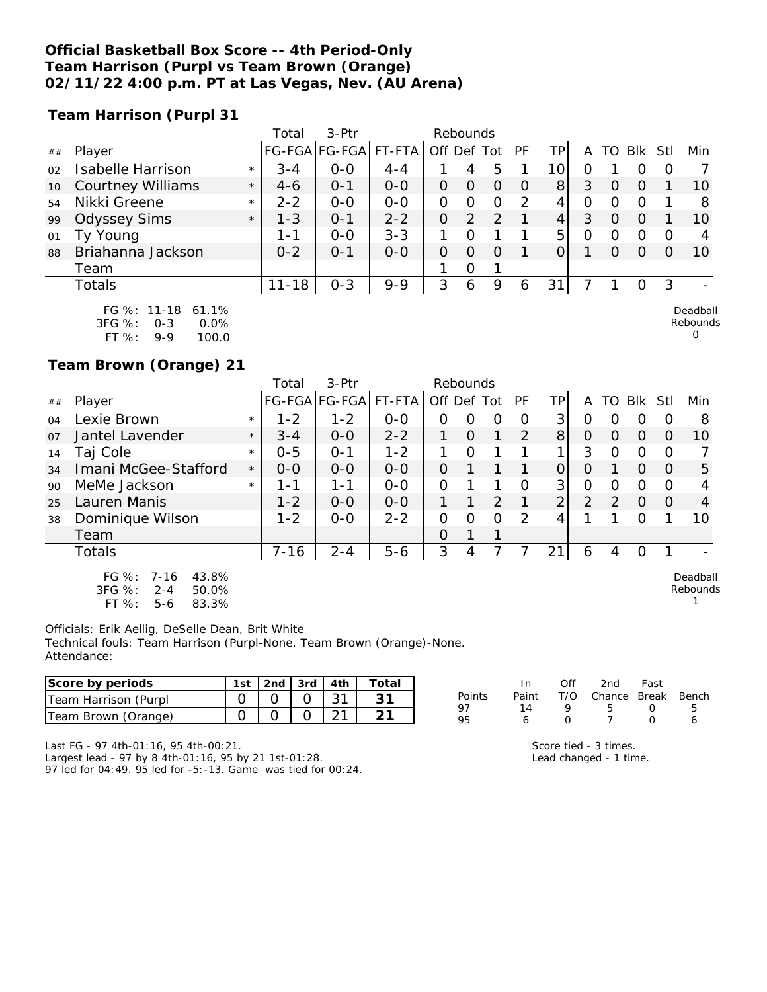#### **Official Basketball Box Score -- 4th Period-Only Team Harrison (Purpl vs Team Brown (Orange) 02/11/22 4:00 p.m. PT at Las Vegas, Nev. (AU Arena)**

**Team Harrison (Purpl 31**

|    |                                                                     |         | Total     | 3-Ptr                |         |             | Rebounds      |   |          |                |         |          |          |          |                      |
|----|---------------------------------------------------------------------|---------|-----------|----------------------|---------|-------------|---------------|---|----------|----------------|---------|----------|----------|----------|----------------------|
| ## | Player                                                              |         |           | FG-FGA FG-FGA FT-FTA |         | Off Def Tot |               |   | PF       | TPI            | Α       | TO.      | Blk Stl  |          | Min                  |
| 02 | <b>Isabelle Harrison</b>                                            | $\star$ | $3 - 4$   | $0 - 0$              | $4 - 4$ |             | 4             | 5 |          | 10             | O       |          | O        | $\Omega$ |                      |
| 10 | <b>Courtney Williams</b>                                            | $\star$ | $4 - 6$   | $O - 1$              | $0 - 0$ | 0           | $\Omega$      | 0 | $\Omega$ | 8 <sup>1</sup> | 3       | $\Omega$ | $\Omega$ |          | 10                   |
| 54 | Nikki Greene                                                        | $\star$ | $2 - 2$   | $0 - 0$              | $0 - 0$ | 0           | 0             | 0 | 2        | 4              | 0       | O        | O        |          | 8                    |
| 99 | <b>Odyssey Sims</b>                                                 | $\star$ | $1 - 3$   | $O - 1$              | $2 - 2$ | 0           | $\mathcal{P}$ | 2 |          | 4              | 3       | O        | $\Omega$ |          | 10                   |
| 01 | Ty Young                                                            |         | 1-1       | $0 - 0$              | $3 - 3$ | 1           | $\Omega$      |   |          | 5              | $\circ$ | $\Omega$ | O        |          |                      |
| 88 | Briahanna Jackson                                                   |         | $0 - 2$   | $O - 1$              | $0 - 0$ | 0           | $\Omega$      | 0 |          |                |         | $\Omega$ | $\Omega$ |          | 10                   |
|    | Team                                                                |         |           |                      |         |             | 0             |   |          |                |         |          |          |          |                      |
|    | Totals                                                              |         | $11 - 18$ | $0 - 3$              | $9 - 9$ | 3           | 6             | 9 | 6        | 31             |         |          | O        | 3        |                      |
|    | FG %: 11-18 61.1%<br>$3EC^{\circ}$ %.<br>$\cap$ $\cap\%$<br>$0 - 3$ |         |           |                      |         |             |               |   |          |                |         |          |          |          | Deadball<br>Rebounds |

 $\Omega$ 

1

3FG %: 0-3 0.0% FT %: 9-9 100.0

**Team Brown (Orange) 21**

|    |                                                           |         | Total    | $3-$ Ptr             |         | Rebounds    |   |                |               |          |                |    |            |          |                      |
|----|-----------------------------------------------------------|---------|----------|----------------------|---------|-------------|---|----------------|---------------|----------|----------------|----|------------|----------|----------------------|
| ## | Player                                                    |         |          | FG-FGA FG-FGA FT-FTA |         | Off Def Tot |   |                | PF            | TP.      | А              | TO | <b>BIK</b> | Stl      | Min                  |
| 04 | Lexie Brown                                               | $\star$ | $1 - 2$  | $1 - 2$              | $0 - 0$ | 0           | Ω | ი              | Ω             | 3        | ი              | ∩  | Ο          |          | 8                    |
| 07 | Jantel Lavender                                           | $\star$ | $3 - 4$  | $0 - 0$              | $2 - 2$ |             | Ο | 1              | 2             | 8        | 0              | Ω  | $\Omega$   | $\Omega$ | 10                   |
| 14 | Taj Cole                                                  | $\star$ | $0 - 5$  | $O - 1$              | $1 - 2$ |             | Ω |                |               |          | 3              | Ω  | O          | Ω        |                      |
| 34 | Imani McGee-Stafford                                      | $\star$ | $0 - 0$  | $0 - 0$              | $0 - 0$ | O           |   |                |               |          | 0              |    | $\Omega$   | Ω        | 5                    |
| 90 | MeMe Jackson                                              | $\star$ | 1 - 1    | 1-1                  | $0 - 0$ | 0           |   | 1              | 0             | 3        | 0              | Ω  | 0          |          | 4                    |
| 25 | Lauren Manis                                              |         | $1 - 2$  | $0 - 0$              | $0 - 0$ |             |   | $\overline{2}$ |               | $\Omega$ | $\overline{2}$ | 2  | $\Omega$   | O        | 4                    |
| 38 | Dominique Wilson                                          |         | $1 - 2$  | $0 - 0$              | $2 - 2$ | 0           | Ω | 0              | $\mathcal{P}$ |          |                |    | Ο          |          | 10                   |
|    | Team                                                      |         |          |                      |         | 0           |   |                |               |          |                |    |            |          |                      |
|    | Totals                                                    |         | $7 - 16$ | $2 - 4$              | $5 - 6$ | 3           |   | 7.             |               | 21       | 6              | 4  | 0          |          |                      |
|    | FG $%$ :<br>7-16<br>43.8%<br>$3FC.$ %<br>$2 - 4$<br>50.0% |         |          |                      |         |             |   |                |               |          |                |    |            |          | Deadball<br>Rebounds |

3FG %: 2-4 50.0% FT %: 5-6 83.3%

Officials: Erik Aellig, DeSelle Dean, Brit White Technical fouls: Team Harrison (Purpl-None. Team Brown (Orange)-None. Attendance:

| Score by periods     | ∣st | 2nd. | 3rd | 4th | $\tau$ otal |        |       | 2nd          | Fast  |       |
|----------------------|-----|------|-----|-----|-------------|--------|-------|--------------|-------|-------|
| Team Harrison (Purpl |     |      |     |     |             | Points | Paint | $\cap$ hance | Break | Bench |
| Team Brown (Orange)  |     |      |     |     |             | 95     |       |              |       |       |

Last FG - 97 4th-01:16, 95 4th-00:21.

Largest lead - 97 by 8 4th-01:16, 95 by 21 1st-01:28. 97 led for 04:49. 95 led for -5:-13. Game was tied for 00:24. Score tied - 3 times. Lead changed - 1 time.